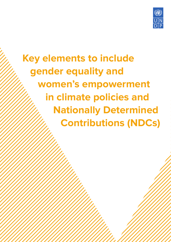

**Key elements to include gender equality and women's empowerment in climate policies and Nationally Determined Contributions (NDCs)**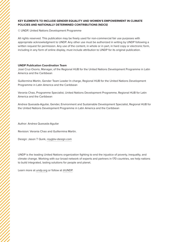#### **KEY ELEMENTS TO INCLUDE GENDER EQUALITY AND WOMEN'S EMPOWERMENT IN CLIMATE POLICIES AND NATIONALLY DETERMINED CONTRIBUTIONS (NDCS)**

© UNDP, United Nations Development Programme

All rights reserved. This publication may be freely used for non-commercial fair use purposes with appropriate acknowledgment to UNDP. Any other use must be authorized in writing by UNDP following a written request for permission. Any use of the content, in whole or in part, in hard copy or electronic form, including in any form of online display, must include attribution to UNDP for its original publication.

#### **UNDP Publication Coordination Team**

José Cruz-Osorio, Manager, of the Regional HUB for the United Nations Development Programme in Latin America and the Caribbean

Guillermina Martin, Gender Team Leader In charge, Regional HUB for the United Nations Development Programme in Latin America and the Caribbean

Verania Chao, Programme Specialist, United Nations Development Programme, Regional HUB for Latin America and the Caribbean

Andrea Quesada-Aguilar, Gender, Environment and Sustainable Development Specialist, Regional HUB for the United Nations Development Programme in Latin America and the Caribbean

Author: Andrea Quesada-Aguilar

Revision: Verania Chao and Guillermina Martin.

Design: Jason T Quirk, [roygbiv-design.com](http://www.roygbiv-design.com/)

UNDP is the leading United Nations organization fighting to end the injustice of poverty, inequality, and climate change. Working with our broad network of experts and partners in 170 countries, we help nations to build integrated, lasting solutions for people and planet.

Learn more at [undp.org](https://www.undp.org/) or follow at [@UNDP.](https://twitter.com/UNDP?ref_src=twsrc%5Egoogle%7Ctwcamp%5Eserp%7Ctwgr%5Eauthor)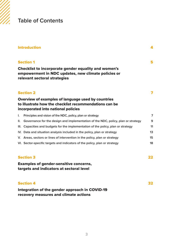# **Table of Contents**

|                  | <b>Introduction</b>                                                                                                                                 | 4              |
|------------------|-----------------------------------------------------------------------------------------------------------------------------------------------------|----------------|
|                  | <b>Section 1</b>                                                                                                                                    | 5              |
|                  | <b>Checklist to incorporate gender equality and women's</b><br>empowerment in NDC updates, new climate policies or<br>relevant sectoral strategies  |                |
|                  | <b>Section 2</b>                                                                                                                                    | 7              |
|                  | Overview of examples of language used by countries<br>to illustrate how the checklist recommendations can be<br>incorporated into national policies |                |
| I.               | Principles and vision of the NDC, policy, plan or strategy                                                                                          | $\overline{7}$ |
| II.              | Governance for the design and implementation of the NDC, policy, plan or strategy                                                                   | 9              |
|                  | III. Capacities and budgets for the implementation of the policy, plan or strategy                                                                  | 11             |
|                  | IV. Data and situation analysis included in the policy, plan or strategy                                                                            | 13             |
|                  | V. Areas, sectors or lines of intervention in the policy, plan or strategy                                                                          | 15             |
|                  | VI. Sector-specific targets and indicators of the policy, plan or strategy                                                                          | 18             |
| <b>Section 3</b> |                                                                                                                                                     | 22             |
|                  | <b>Examples of gender-sensitive concerns,</b><br>targets and indicators at sectoral level                                                           |                |
|                  | <b>Section 4</b>                                                                                                                                    | 32             |
|                  | Integration of the gender approach in COVID-19<br>recovery measures and climate actions                                                             |                |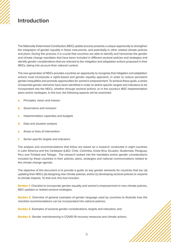# <span id="page-3-0"></span>**Introduction**

The Nationally Determined Contribution (NDC) update process presents a unique opportunity to strengthen the integration of gender equality in these instruments, and potentially in other related climate policies and plans. During this process, it is crucial that countries are able to identify and harmonise the gender and climate change mandates that have been included in different sectoral policies and strategies and identify gender considerations that are relevant to the mitigation and adaptation actions proposed in their NDCs, taking into account their national context.

The new generation of NDCs provides countries an opportunity to recognise that mitigation and adaptation actions must incorporate a rights-based and gender equality approach, in order to reduce persistent gender inequalities and promote opportunities for women's empowerment. To achieve these goals, a series of essential gender elements have been identified in order to define specific targets and indicators to be incorporated into the NDCs, whether through sectoral actions, or in the country's NDC implementation plans and/or strategies. In this tool, the following aspects will be examined:

- **a.** Principles, vision and mission
- **b.** Governance and inclusion
- c. Implementation capacities and budgets
- d. Data and situation analysis
- e. Areas or lines of intervention
- f. Sector-specific targets and indicators

The analysis and recommendations that follow are based on a research conducted in eight countries in Latin America and the Caribbean (LAC): Chile, Colombia, Costa Rica, Ecuador, Guatemala, Paraguay, Peru and Trinidad and Tobago. The research looked into the mandates and/or gender considerations included by these countries in their policies, plans, strategies and national communications related to the climate change agenda.

The objective of this document is to provide a guide on key gender elements for countries that are: (a) updating their NDCs; (b) designing new climate policies; and/or (c) developing sectoral policies to respond to climate impacts. To that end, this tool includes:

**Section 1.** Checklist to incorporate gender equality and women's empowerment in new climate policies, NDC updates or related sectoral strategies;

**Section 2.** Overview of general examples of gender language used by countries to illustrate how the checklist recommendations can be incorporated into national policies;

**Section 3.** Examples of sectoral gender considerations, targets and indicators; and

**Section 4.** Gender mainstreaming in COVID-19 recovery measures and climate actions.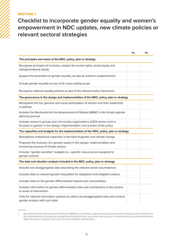# <span id="page-4-0"></span>**SECTION 1**

**Checklist to incorporate gender equality and women's empowerment in NDC updates, new climate policies or relevant sectoral strategies**

|                                                                                                                                                           | Yes | No |
|-----------------------------------------------------------------------------------------------------------------------------------------------------------|-----|----|
| The principles and vision of the NDC, policy, plan or strategy                                                                                            |     |    |
| Recognise principles of inclusion, respect for human rights, social equity and<br>intergenerational equity                                                |     |    |
| Support the promotion of gender equality, as well as women's empowerment                                                                                  |     |    |
| Include gender equality as one of its cross-cutting issues                                                                                                |     |    |
| Recognise national equality policies as part of the relevant policy framework                                                                             |     |    |
| The governance in the design and implementation of the NDC, policy, plan or strategy                                                                      |     |    |
| Recognises the full, genuine and equal participation of women and their leadership<br>in policies                                                         |     |    |
| Includes the Mechanism for the Advancement of Women (MAW) <sup>1</sup> in the climate agenda<br>planning process                                          |     |    |
| Includes women's groups and civil society organizations (CSO) whose work is<br>focused on gender in the design, implementation and revision of the policy |     |    |
| The capacities and budgets for the implementation of the NDC, policy, plan or strategy                                                                    |     |    |
| Strengthens institutional capacities in the field of gender and climate change                                                                            |     |    |
| Proposes the inclusion of a gender expert in the design, implementation and<br>monitoring process of climate actions                                      |     |    |
| Includes "gender-sensitive" budgets (i.e., specific resources are assigned to<br>gender actions)                                                          |     |    |
| The data and situation analysis included in the NDC, policy, plan or strategy                                                                             |     |    |
| Includes sex-disaggregated data describing the national social circumstances                                                                              |     |    |
| Includes data on relevant gender inequalities for adaptation and mitigation actions                                                                       |     |    |
| Includes data on the gender-differentiated impacts and vulnerabilities                                                                                    |     |    |
| Includes information on gender-differentiated roles and contributions in the sectors<br>or areas of intervention                                          |     |    |
| Calls for national information systems to collect sex-disaggregated data and conduct<br>gender analysis with such data                                    |     |    |

**<sup>1</sup> Mechanisms for the Advancement of Women (MAW) are all national, regional and local government institutions that contribute to the mainstreaming of the gender perspective in public policies, and those that carry out concrete actions to promote the human rights of women and girls, and to put an end to violence against them.**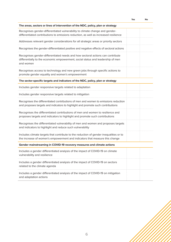|                                                                                                                                                                                | Yes | No |
|--------------------------------------------------------------------------------------------------------------------------------------------------------------------------------|-----|----|
| The areas, sectors or lines of intervention of the NDC, policy, plan or strategy                                                                                               |     |    |
| Recognises gender-differentiated vulnerability to climate change and gender-<br>differentiated contributions to emissions reduction, as well as increased resilience           |     |    |
| Addresses relevant gender considerations for all strategic areas or priority sectors                                                                                           |     |    |
| Recognises the gender-differentiated positive and negative effects of sectoral actions                                                                                         |     |    |
| Recognises gender-differentiated needs and how sectoral actions can contribute<br>differentially to the economic empowerment, social status and leadership of men<br>and women |     |    |
| Recognises access to technology and new green jobs through specific actions to<br>promote gender equality and women's empowerment                                              |     |    |
| The sector-specific targets and indicators of the NDC, policy, plan or strategy                                                                                                |     |    |
| Includes gender responsive targets related to adaptation                                                                                                                       |     |    |
| Includes gender responsive targets related to mitigation                                                                                                                       |     |    |
| Recognises the differentiated contributions of men and women to emissions reduction<br>and proposes targets and indicators to highlight and promote such contributions         |     |    |
| Recognises the differentiated contributions of men and women to resilience and<br>proposes targets and indicators to highlight and promote such contributions                  |     |    |
| Recognises the differentiated vulnerability of men and women and proposes targets<br>and indicators to highlight and reduce such vulnerability                                 |     |    |
| Includes climate targets that contribute to the reduction of gender inequalities or to<br>the increase of women's empowerment and indicators that measure this change          |     |    |
| Gender mainstreaming in COVID-19 recovery measures and climate actions                                                                                                         |     |    |
| Includes a gender differentiated analysis of the impact of COVID-19 on climate<br>vulnerability and resilience                                                                 |     |    |
| Includes a gender differentiated analysis of the impact of COVID-19 on sectors<br>related to the climate agenda                                                                |     |    |
| Includes a gender differentiated analysis of the impact of COVID-19 on mitigation<br>and adaptation actions                                                                    |     |    |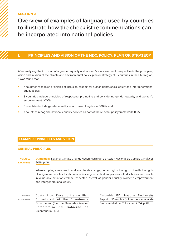# <span id="page-6-0"></span>SECTION 2

**Overview of examples of language used by countries to illustrate how the checklist recommendations can be incorporated into national policies**

# **I. PRINCIPLES AND VISION OF THE NDC, POLICY, PLAN OR STRATEGY**

After analysing the inclusion of a gender equality and women's empowerment perspective in the principles, vision and mission of the climate and environmental policy, plan or strategy of 8 countries in the LAC region, it was found that:

- 7 countries recognise principles of inclusion, respect for human rights, social equity and intergenerational equity (88%);
- 8 countries include principles of respecting, promoting and considering gender equality and women's empowerment (100%);
- 8 countries include gender equality as a cross-cutting issue (100%); and
- 7 countries recognise national equality policies as part of the relevant policy framework (88%).

### **EXAMPLES: PRINCIPLES AND VISION**

#### **GENERAL PRINCIPLES**

Guatemala. [National Climate Change Action Plan \(Plan de Acción Nacional de Cambio Climático\).](https://sgccc.org.gt/wp-content/uploads/2016/10/Plan-de-Accio%CC%81n-Nacional-de-Cambio-Clima%CC%81tico-ver-oct-2016-aprobado-1.pdf)  [2016, p. 16.](https://sgccc.org.gt/wp-content/uploads/2016/10/Plan-de-Accio%CC%81n-Nacional-de-Cambio-Clima%CC%81tico-ver-oct-2016-aprobado-1.pdf) **NOTABLE** EXAMPLES

> When adopting measures to address climate change, human rights, the right to health, the rights of indigenous peoples, local communities, migrants, children, persons with disabilities and people in vulnerable situations will be respected, as well as gender equality, women's empowerment and intergenerational equity.

Costa Rica. [Decarbonization Plan.](https://minae.go.cr/images/pdf/Plan-de-Descarbonizacion-1.pdf)  [Commitment of the Bicentennial](https://minae.go.cr/images/pdf/Plan-de-Descarbonizacion-1.pdf) [Government \(Plan de Descarbonización.](https://minae.go.cr/images/pdf/Plan-de-Descarbonizacion-1.pdf)  [Compromiso del Gobierno del](https://minae.go.cr/images/pdf/Plan-de-Descarbonizacion-1.pdf) [Bicentenario\), p. 3.](https://minae.go.cr/images/pdf/Plan-de-Descarbonizacion-1.pdf) OTHER EXAMPLES

Colombia. [Fifth National Biodiversity](https://www.undp.org/content/dam/colombia/docs/MedioAmbiente/undp-co-informebiodiversidad-2014.pdf)  [Report of Colombia \(V Informe Nacional de](https://www.undp.org/content/dam/colombia/docs/MedioAmbiente/undp-co-informebiodiversidad-2014.pdf)  [Biodiversidad de Colombia\). 2014, p. 62\).](https://www.undp.org/content/dam/colombia/docs/MedioAmbiente/undp-co-informebiodiversidad-2014.pdf)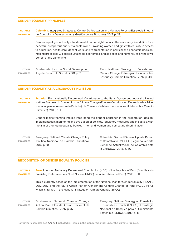#### **GENDER EQUALITY PRINCIPLES**

Colombia. [Integrated Strategy to Control Deforestation and Manage Forests \(Estrategia Integral](https://redd.unfccc.int/files/eicdgb_bosques_territorios_de_vida_web.pdf)  [de Control a la Deforestación y Gestión de los Bosques\). 2017, p. 28.](https://redd.unfccc.int/files/eicdgb_bosques_territorios_de_vida_web.pdf) NOTABLE EXAMPLES

> Gender equality is not only a fundamental human right but also the necessary foundation for a peaceful, prosperous and sustainable world. Providing women and girls with equality in access to education, health care, decent work, and representation in political and economic decisionmaking processes will boost sustainable economies, and societies and humanity as a whole will benefit at the same time.

Guatemala. [Law on Social Development](http://biblioteca.oj.gob.gt/library/index.php?title=17660&query=@title=Special:GSMSearchPage@process=@field1=clasificacion@value1=348.02@mode=advanced&recnum=59)  [\(Ley de Desarrollo Social\). 2001, p. 2.](http://biblioteca.oj.gob.gt/library/index.php?title=17660&query=@title=Special:GSMSearchPage@process=@field1=clasificacion@value1=348.02@mode=advanced&recnum=59)  OTHER EXAMPLES

Peru. National [Strategy on Forests and](http://www.bosques.gob.pe/archivo/ff3f54_ESTRATEGIACAMBIOCLIMATICO2016_ok.pdf)  [Climate Change \(Estrategia Nacional sobre](http://www.bosques.gob.pe/archivo/ff3f54_ESTRATEGIACAMBIOCLIMATICO2016_ok.pdf)  [Bosques y Cambio Climático\). 2016, p. 48.](http://www.bosques.gob.pe/archivo/ff3f54_ESTRATEGIACAMBIOCLIMATICO2016_ok.pdf)

#### **GENDER EQUALITY AS A CROSS-CUTTING ISSUE**

#### Ecuador. [First Nationally Determined Contribution to the Paris Agreement under the United](https://www4.unfccc.int/sites/ndcstaging/PublishedDocuments/Ecuador%20First/Primera%20NDC%20Ecuador.pdf)  [Nations Framework Convention on Climate Change \(Primera Contribución Determinada a Nivel](https://www4.unfccc.int/sites/ndcstaging/PublishedDocuments/Ecuador%20First/Primera%20NDC%20Ecuador.pdf)  [Nacional para el Acuerdo de París bajo la Convención Marco de Naciones Unidas sobre Cambio](https://www4.unfccc.int/sites/ndcstaging/PublishedDocuments/Ecuador%20First/Primera%20NDC%20Ecuador.pdf)  [Climático\). 2019, p. 10.](https://www4.unfccc.int/sites/ndcstaging/PublishedDocuments/Ecuador%20First/Primera%20NDC%20Ecuador.pdf) NOTABLE EXAMPLES

Gender mainstreaming implies integrating the gender approach in the preparation, design, implementation, monitoring and evaluation of policies, regulatory measures and initiatives, with the aim of promoting equality between men and women and combating discrimination.

Paraguay. [National Climate Change Policy](http://dncc.mades.gov.py/politicas-publicas-de-cambio-climatico)  [\(Política Nacional de Cambio Climático\).](http://dncc.mades.gov.py/politicas-publicas-de-cambio-climatico) [2016, p. 10.](http://dncc.mades.gov.py/politicas-publicas-de-cambio-climatico) OTHER EXAMPLES

Colombia. [Second Biennial Update Report](https://www4.unfccc.int/sites/SubmissionsStaging/NationalReports/Documents/47096251_Colombia-BUR2-1-2BUR%20COLOMBIA%20SPANISH.pdf)  [of Colombia to UNFCCC \(Segundo Reporte](https://www4.unfccc.int/sites/SubmissionsStaging/NationalReports/Documents/47096251_Colombia-BUR2-1-2BUR%20COLOMBIA%20SPANISH.pdf)  [Bienal de Actualización de Colombia ante](https://www4.unfccc.int/sites/SubmissionsStaging/NationalReports/Documents/47096251_Colombia-BUR2-1-2BUR%20COLOMBIA%20SPANISH.pdf)  [la CMNUCC\). 2018, p. 56.](https://www4.unfccc.int/sites/SubmissionsStaging/NationalReports/Documents/47096251_Colombia-BUR2-1-2BUR%20COLOMBIA%20SPANISH.pdf)

### **RECOGNITION OF GENDER EQUALITY POLICIES**

Peru. [Intended Nationally Determined Contribution \(NDC\) of the Republic of Peru \(Contribución](https://www4.unfccc.int/sites/ndcstaging/PublishedDocuments/Peru%20First/iNDC%20Per%C3%BA%20castellano.pdf)  [Prevista y Determinada a Nivel Nacional \(NDC\) de la República del Perú\). 2015, p. 11.](https://www4.unfccc.int/sites/ndcstaging/PublishedDocuments/Peru%20First/iNDC%20Per%C3%BA%20castellano.pdf) NOTABLE EXAMPLES

> This is currently based on the implementation of the National Plan for Gender Equality (PLANIG 2012-2017) and the future Action Plan on Gender and Climate Change of Peru (PAGCC-Peru), which is framed in the National Strategy on Climate Change (ENCC).

Guatemala. [National Climate Change](https://sgccc.org.gt/wp-content/uploads/2016/10/Plan-de-Accio%CC%81n-Nacional-de-Cambio-Clima%CC%81tico-ver-oct-2016-aprobado-1.pdf)  [Action Plan \(Plan de Acción Nacional de](https://sgccc.org.gt/wp-content/uploads/2016/10/Plan-de-Accio%CC%81n-Nacional-de-Cambio-Clima%CC%81tico-ver-oct-2016-aprobado-1.pdf)  [Cambio Climático\). 2016, p. 32.](https://sgccc.org.gt/wp-content/uploads/2016/10/Plan-de-Accio%CC%81n-Nacional-de-Cambio-Clima%CC%81tico-ver-oct-2016-aprobado-1.pdf) OTHER EXAMPLES

Paraguay. [National Strategy on Forests for](https://redd.unfccc.int/files/estrategia_nacional_bosques_para_el_crecimiento_sostenible.pdf)  [Sustainable Growth \(ENBCS\) \(Estrategia](https://redd.unfccc.int/files/estrategia_nacional_bosques_para_el_crecimiento_sostenible.pdf)  [Nacional de Bosques para el Crecimiento](https://redd.unfccc.int/files/estrategia_nacional_bosques_para_el_crecimiento_sostenible.pdf)  [Sostenible \(ENBCS\)\). 2019, p. 18.](https://redd.unfccc.int/files/estrategia_nacional_bosques_para_el_crecimiento_sostenible.pdf)

**For further examples see** [Annex 1](https://www.undp.org/content/ndc-support-programme/en/home/impact-and-learning/multimedia/gender-checklist-annex.html) **included in Teams in the Gender Channel under the Climate Promise.**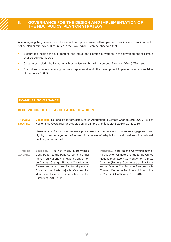# <span id="page-8-0"></span>**II. GOVERNANCE FOR THE DESIGN AND IMPLEMENTATION OF THE NDC, POLICY, PLAN OR STRATEGY**

After analysing the governance and social inclusion process needed to implement the climate and environmental policy, plan or strategy of 8 countries in the LAC region, it can be observed that:

- 8 countries include the full, genuine and equal participation of women in the development of climate change policies (100%);
- 6 countries include the Institutional Mechanism for the Advancement of Women (MAW) (75%); and
- 8 countries include women's groups and representatives in the development, implementation and revision of the policy (100%).

#### **EXAMPLES: GOVERNANCE**

#### **RECOGNITION OF THE PARTICIPATION OF WOMEN**

Costa Rica. National Policy of Costa Rica on Adaptation to Climate Change 2018-2030 (Política [Nacional de Costa Rica de Adaptación al Cambio Climático 2018-2030\). 2018, p. 59.](http://www.pgrweb.go.cr/DocsDescargar/Normas/No%20DE-41091/Version1/Politica_ADAPTACION_24_abril.pdf) NOTABLE EXAMPLES

> Likewise, this Policy must generate processes that promote and guarantee engagement and highlight the management of women in all areas of adaptation: local, business, institutional, political, economic, etc.

Ecuador. [First Nationally Determined](https://www4.unfccc.int/sites/ndcstaging/PublishedDocuments/Ecuador%20First/Primera%20NDC%20Ecuador.pdf) [Contribution to the Paris Agreement under](https://www4.unfccc.int/sites/ndcstaging/PublishedDocuments/Ecuador%20First/Primera%20NDC%20Ecuador.pdf)  [the United Nations Framework Convention](https://www4.unfccc.int/sites/ndcstaging/PublishedDocuments/Ecuador%20First/Primera%20NDC%20Ecuador.pdf)  [on Climate Change \(Primera Contribución](https://www4.unfccc.int/sites/ndcstaging/PublishedDocuments/Ecuador%20First/Primera%20NDC%20Ecuador.pdf) [Determinada a Nivel Nacional para el](https://www4.unfccc.int/sites/ndcstaging/PublishedDocuments/Ecuador%20First/Primera%20NDC%20Ecuador.pdf)  [Acuerdo de París bajo la Convención](https://www4.unfccc.int/sites/ndcstaging/PublishedDocuments/Ecuador%20First/Primera%20NDC%20Ecuador.pdf) [Marco de Naciones Unidas sobre Cambio](https://www4.unfccc.int/sites/ndcstaging/PublishedDocuments/Ecuador%20First/Primera%20NDC%20Ecuador.pdf)  [Climático\). 2019, p. 14.](https://www4.unfccc.int/sites/ndcstaging/PublishedDocuments/Ecuador%20First/Primera%20NDC%20Ecuador.pdf) OTHER EXAMPLES

Paraguay. [Third National Communication of](https://www4.unfccc.int/sites/SubmissionsStaging/NationalReports/Documents/45107_Paraguay-NC3-1-NC3%20PARAGUAY.pdf)  [Paraguay on Climate Change to the United](https://www4.unfccc.int/sites/SubmissionsStaging/NationalReports/Documents/45107_Paraguay-NC3-1-NC3%20PARAGUAY.pdf)  [Nations Framework Convention on Climate](https://www4.unfccc.int/sites/SubmissionsStaging/NationalReports/Documents/45107_Paraguay-NC3-1-NC3%20PARAGUAY.pdf)  [Change \(Tercera Comunicación Nacional](https://www4.unfccc.int/sites/SubmissionsStaging/NationalReports/Documents/45107_Paraguay-NC3-1-NC3%20PARAGUAY.pdf)  [sobre Cambio Climático de Paraguay a la](https://www4.unfccc.int/sites/SubmissionsStaging/NationalReports/Documents/45107_Paraguay-NC3-1-NC3%20PARAGUAY.pdf)  [Convención de las Naciones Unidas sobre](https://www4.unfccc.int/sites/SubmissionsStaging/NationalReports/Documents/45107_Paraguay-NC3-1-NC3%20PARAGUAY.pdf)  [el Cambio Climático\). 2016, p. 402.](https://www4.unfccc.int/sites/SubmissionsStaging/NationalReports/Documents/45107_Paraguay-NC3-1-NC3%20PARAGUAY.pdf)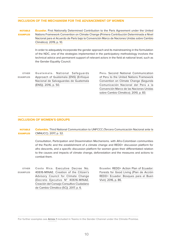#### **INCLUSION OF THE MECHANISM FOR THE ADVANCEMENT OF WOMEN**

**Ecuador.** First Nationally Determined Contribution to the Paris Agreement under the United [Nations Framework Convention on Climate Change \(Primera Contribución Determinada a Nivel](https://www4.unfccc.int/sites/ndcstaging/PublishedDocuments/Ecuador%20First/Primera%20NDC%20Ecuador.pdf)  [Nacional para el Acuerdo de París bajo la Convención Marco de Naciones Unidas sobre Cambio](https://www4.unfccc.int/sites/ndcstaging/PublishedDocuments/Ecuador%20First/Primera%20NDC%20Ecuador.pdf)  [Climático\). 2019, p. 10.](https://www4.unfccc.int/sites/ndcstaging/PublishedDocuments/Ecuador%20First/Primera%20NDC%20Ecuador.pdf) NOTABLE EXAMPLES

> In order to adequately incorporate the gender approach and its mainstreaming in the formulation of the NDC, one of the strategies implemented in the participatory methodology involves the technical advice and permanent support of relevant actors in the field at national level, such as the Gender Equality Council.

OTHER EXAMPLES

Guatemala. [National Safeguards](https://www.marn.gob.gt/Multimedios/7573.pdf)  [Approach of Guatemala \(ENS\) \(Enfoque](https://www.marn.gob.gt/Multimedios/7573.pdf) [Nacional de Salvaguardas de Guatemala](https://www.marn.gob.gt/Multimedios/7573.pdf)  [\(ENS\)\). 2016, p. 50.](https://www.marn.gob.gt/Multimedios/7573.pdf)

Peru. [Second National Communication](https://sinia.minam.gob.pe/documentos/segunda-comunicacion-nacional-peru-convencion-marco-las-naciones)  [of Peru to the United Nations Framework](https://sinia.minam.gob.pe/documentos/segunda-comunicacion-nacional-peru-convencion-marco-las-naciones)  [Convention on Climate Change \(Segunda](https://sinia.minam.gob.pe/documentos/segunda-comunicacion-nacional-peru-convencion-marco-las-naciones)  [Comunicación Nacional del Perú a la](https://sinia.minam.gob.pe/documentos/segunda-comunicacion-nacional-peru-convencion-marco-las-naciones)  [Convención Marco de las Naciones Unidas](https://sinia.minam.gob.pe/documentos/segunda-comunicacion-nacional-peru-convencion-marco-las-naciones)  [sobre Cambio Climático\). 2010, p. 83.](https://sinia.minam.gob.pe/documentos/segunda-comunicacion-nacional-peru-convencion-marco-las-naciones)

#### **INCLUSION OF WOMEN'S GROUPS**

#### Colombia. [Third National Communication to UNFCCC \(Tercera Comunicación Nacional ante la](http://documentacion.ideam.gov.co/openbiblio/bvirtual/023732/RESUMEN_EJECUTIVO_TCNCC_COLOMBIA.pdf)  [CMNUCC\). 2017, p. 32.](http://documentacion.ideam.gov.co/openbiblio/bvirtual/023732/RESUMEN_EJECUTIVO_TCNCC_COLOMBIA.pdf) NOTABLE EXAMPLES

Consultation, Participation and Dissemination Mechanisms. with Afro-Colombian communities of the Pacific and the establishment of a climate change and REDD+ discussion platform for afro descents, and a specific discussion platform for women given their differentiated relation to the causes and impacts of climate change, deforestation and the measures and actions to combat them.

Costa Rica. [Executive Decree No.](https://www.pgrweb.go.cr/scij/Busqueda/Normativa/Normas/nrm_texto_completo.aspx?param1=NRTC&nValor1=1&nValor2=84846&nValor3=109605&strTipM=TC)  [40616-MINAE. Creation of the Citizen's](https://www.pgrweb.go.cr/scij/Busqueda/Normativa/Normas/nrm_texto_completo.aspx?param1=NRTC&nValor1=1&nValor2=84846&nValor3=109605&strTipM=TC)  [Advisory Council for Climate Change](https://www.pgrweb.go.cr/scij/Busqueda/Normativa/Normas/nrm_texto_completo.aspx?param1=NRTC&nValor1=1&nValor2=84846&nValor3=109605&strTipM=TC) [\(Decreto Ejecutivo N° 40616-MINAE.](https://www.pgrweb.go.cr/scij/Busqueda/Normativa/Normas/nrm_texto_completo.aspx?param1=NRTC&nValor1=1&nValor2=84846&nValor3=109605&strTipM=TC)  [Creación del Consejo Consultivo Ciudadano](https://www.pgrweb.go.cr/scij/Busqueda/Normativa/Normas/nrm_texto_completo.aspx?param1=NRTC&nValor1=1&nValor2=84846&nValor3=109605&strTipM=TC)  [de Cambio Climático \(5C\)\). 2017, p. 6.](https://www.pgrweb.go.cr/scij/Busqueda/Normativa/Normas/nrm_texto_completo.aspx?param1=NRTC&nValor1=1&nValor2=84846&nValor3=109605&strTipM=TC) OTHER EXAMPLES

Ecuador. [REDD+ Action Plan of Ecuador:](http://reddecuador.ambiente.gob.ec/redd/plan-de-accion-redd/)  [Forests for Good Living \(Plan de Acción](http://reddecuador.ambiente.gob.ec/redd/plan-de-accion-redd/)  [REDD+ Ecuador: Bosques para el Buen](http://reddecuador.ambiente.gob.ec/redd/plan-de-accion-redd/)  [Vivir\). 2016, p. 86.](http://reddecuador.ambiente.gob.ec/redd/plan-de-accion-redd/)

**For further examples see** [Annex 1](https://www.undp.org/content/ndc-support-programme/en/home/impact-and-learning/multimedia/gender-checklist-annex.html) **included in Teams in the Gender Channel under the Climate Promise.**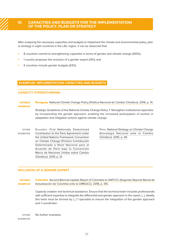# <span id="page-10-0"></span>**III. CAPACITIES AND BUDGETS FOR THE IMPLEMENTATION OF THE POLICY, PLAN OR STRATEGY**

After analysing the necessary capacities and budgets to implement the climate and environmental policy, plan or strategy in eight countries in the LAC region, it can be observed that:

- 8 countries commit to strengthening capacities in terms of gender and climate change (100%);
- 1 country proposes the inclusion of a gender expert (13%); and
- 5 countries include gender budgets (63%).

#### **EXAMPLES: IMPLEMENTATION CAPACITIES AND BUDGETS**

#### **CAPACITY STRENGTHENING**

#### Paraguay. [National Climate Change Policy \(Política Nacional de Cambio Climático\). 2016, p. 14.](http://dncc.mades.gov.py/politicas-publicas-de-cambio-climatico) NOTABLE EXAMPLES

Strategic Guidelines of the National Climate Change Policy 7. Strengthen institutional capacities by incorporating the gender approach, enabling the increased participation of women in adaptation and mitigation actions against climate change.

Ecuador. [First Nationally Determined](https://www4.unfccc.int/sites/ndcstaging/PublishedDocuments/Ecuador%20First/Primera%20NDC%20Ecuador.pdf) [Contribution to the Paris Agreement under](https://www4.unfccc.int/sites/ndcstaging/PublishedDocuments/Ecuador%20First/Primera%20NDC%20Ecuador.pdf)  [the United Nations Framework Convention](https://www4.unfccc.int/sites/ndcstaging/PublishedDocuments/Ecuador%20First/Primera%20NDC%20Ecuador.pdf)  [on Climate Change \(Primera Contribución](https://www4.unfccc.int/sites/ndcstaging/PublishedDocuments/Ecuador%20First/Primera%20NDC%20Ecuador.pdf) [Determinada a Nivel Nacional para el](https://www4.unfccc.int/sites/ndcstaging/PublishedDocuments/Ecuador%20First/Primera%20NDC%20Ecuador.pdf)  [Acuerdo de París bajo la Convención](https://www4.unfccc.int/sites/ndcstaging/PublishedDocuments/Ecuador%20First/Primera%20NDC%20Ecuador.pdf) [Marco de Naciones Unidas sobre Cambio](https://www4.unfccc.int/sites/ndcstaging/PublishedDocuments/Ecuador%20First/Primera%20NDC%20Ecuador.pdf)  [Climático\). 2019, p. 31.](https://www4.unfccc.int/sites/ndcstaging/PublishedDocuments/Ecuador%20First/Primera%20NDC%20Ecuador.pdf) OTHER EXAMPLES

Peru. [National Strategy on Climate Change](https://www.minam.gob.pe/wp-content/uploads/2015/09/ENCC-FINAL-250915-web.pdf)  [\(Estrategia Nacional ante el Cambio](https://www.minam.gob.pe/wp-content/uploads/2015/09/ENCC-FINAL-250915-web.pdf)  [Climático\). 2015, p. 49](https://www.minam.gob.pe/wp-content/uploads/2015/09/ENCC-FINAL-250915-web.pdf).

#### **INCLUSION OF A GENDER EXPERT**

Colombia. [Second Biennial Update Report of Colombia to UNFCCC \(Segundo Reporte Bienal de](https://www4.unfccc.int/sites/SubmissionsStaging/NationalReports/Documents/47096251_Colombia-BUR2-1-2BUR%20COLOMBIA%20SPANISH.pdf)  [Actualización de Colombia ante la CMNUCC\). 2018, p. 310.](https://www4.unfccc.int/sites/SubmissionsStaging/NationalReports/Documents/47096251_Colombia-BUR2-1-2BUR%20COLOMBIA%20SPANISH.pdf) **NOTABLE** EXAMPLES

> Capacity creation and technical assistance. Ensure that the technical team includes professionals with sufficient expertise to integrate the differential and gender approach in the report. (…). Ideally, this team must be formed by (…) 1 specialist to ensure the integration of the gender approach and 1 coordinator.

No further examples OTHER EXAMPLES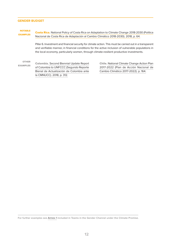#### **GENDER BUDGET**

#### NOTABLE EXAMPLES

Costa Rica. [National Policy of Costa Rica on Adaptation to Climate Change 2018-2030 \(Política](http://www.pgrweb.go.cr/DocsDescargar/Normas/No%20DE-41091/Version1/Politica_ADAPTACION_24_abril.pdf) [Nacional de Costa Rica de Adaptación al Cambio Climático 2018-2030\). 2018, p. 64.](http://www.pgrweb.go.cr/DocsDescargar/Normas/No%20DE-41091/Version1/Politica_ADAPTACION_24_abril.pdf)

Pillar 6. Investment and financial security for climate action. This must be carried out in a transparent and verifiable manner, in financial conditions for the active inclusion of vulnerable populations in the local economy, particularly women, through climate-resilient productive investments.

OTHER EXAMPLES

Colombia. [Second Biennial Update Report](https://www4.unfccc.int/sites/SubmissionsStaging/NationalReports/Documents/47096251_Colombia-BUR2-1-2BUR%20COLOMBIA%20SPANISH.pdf)  [of Colombia to UNFCCC \(Segundo Reporte](https://www4.unfccc.int/sites/SubmissionsStaging/NationalReports/Documents/47096251_Colombia-BUR2-1-2BUR%20COLOMBIA%20SPANISH.pdf)  [Bienal de Actualización de Colombia ante](https://www4.unfccc.int/sites/SubmissionsStaging/NationalReports/Documents/47096251_Colombia-BUR2-1-2BUR%20COLOMBIA%20SPANISH.pdf) [la CMNUCC\). 2018, p. 312.](https://www4.unfccc.int/sites/SubmissionsStaging/NationalReports/Documents/47096251_Colombia-BUR2-1-2BUR%20COLOMBIA%20SPANISH.pdf)

Chile. [National Climate Change Action Plan](https://mma.gob.cl/wp-content/uploads/2017/07/plan_nacional_climatico_2017_2.pdf)  [2017-2022 \(Plan de Acción Nacional de](https://mma.gob.cl/wp-content/uploads/2017/07/plan_nacional_climatico_2017_2.pdf) [Cambio Climático 2017-2022\). p. 164.](https://mma.gob.cl/wp-content/uploads/2017/07/plan_nacional_climatico_2017_2.pdf)

**For further examples see** [Annex 1](https://www.undp.org/content/ndc-support-programme/en/home/impact-and-learning/multimedia/gender-checklist-annex.html) **included in Teams in the Gender Channel under the Climate Promise.**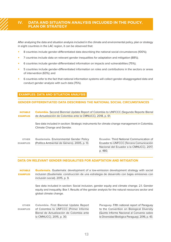# <span id="page-12-0"></span>**IV. DATA AND SITUATION ANALYSIS INCLUDED IN THE POLICY, PLAN OR STRATEGY**

After analysing the data and situation analysis included in the climate and environmental policy, plan or strategy in eight countries in the LAC region, it can be observed that:

- 8 countries include gender-differentiated data describing the national social circumstances (100%);
- 7 countries include data on relevant gender inequalities for adaptation and mitigation (88%);
- 6 countries include gender-differentiated information on impacts and vulnerabilities (75%);
- 5 countries include gender-differentiated information on roles and contributions in the sectors or areas of intervention (63%); and
- 6 countries refer to the fact that national information systems will collect gender-disaggregated data and conduct gender analysis with such data (75%).

#### **EXAMPLES: DATA AND SITUATION ANALYSIS**

#### **GENDER-DIFFERENTIATED DATA DESCRIBING THE NATIONAL SOCIAL CIRCUMSTANCES**

Colombia. [Second Biennial Update Report of Colombia to UNFCCC \(Segundo Reporte Bienal](https://www4.unfccc.int/sites/SubmissionsStaging/NationalReports/Documents/47096251_Colombia-BUR2-1-2BUR%20COLOMBIA%20SPANISH.pdf)  [de Actualización de Colombia ante la CMNUCC\). 2018, p. 61.](https://www4.unfccc.int/sites/SubmissionsStaging/NationalReports/Documents/47096251_Colombia-BUR2-1-2BUR%20COLOMBIA%20SPANISH.pdf) NOTABLE EXAMPLES

> See data included in section: Strategic instruments for climate change management in Colombia. Climate Change and Gender.

Guatemala. [Environmental Gender Policy](https://www.marn.gob.gt/multimedios/2821.pdf) [\(Política Ambiental de Género\). 2005, p. 13.](https://www.marn.gob.gt/multimedios/2821.pdf) OTHER EXAMPLES

Ecuador. [Third National Communication of](https://www.ambiente.gob.ec/wp-content/uploads/downloads/2017/10/TERCERA-COMUNICACION-BAJA-septiembre-20171-ilovepdf-compressed1.pdf)  [Ecuador to UNFCCC \(Tercera Comunicación](https://www.ambiente.gob.ec/wp-content/uploads/downloads/2017/10/TERCERA-COMUNICACION-BAJA-septiembre-20171-ilovepdf-compressed1.pdf)  [Nacional del Ecuador a la CMNUCC\). 2017,](https://www.ambiente.gob.ec/wp-content/uploads/downloads/2017/10/TERCERA-COMUNICACION-BAJA-septiembre-20171-ilovepdf-compressed1.pdf)  [p. 480.](https://www.ambiente.gob.ec/wp-content/uploads/downloads/2017/10/TERCERA-COMUNICACION-BAJA-septiembre-20171-ilovepdf-compressed1.pdf)

#### **DATA ON RELEVANT GENDER INEQUALITIES FOR ADAPTATION AND MITIGATION**

Guatemala. Guatemala: development of a low-emission development strategy with social [inclusion \(Guatemala: construcción de una estrategia de desarrollo con bajas emisiones con](https://genderandenvironment.org/wp-content/uploads/2017/05/LEDS-Inclusion-Social_Publicacion2016.pdf)  [inclusión social\). 2015, p. 9.](https://genderandenvironment.org/wp-content/uploads/2017/05/LEDS-Inclusion-Social_Publicacion2016.pdf) NOTABLE EXAMPLES

> See data included in section: Social inclusion, gender equity and climate change. 2.1. Gender equity and inequality. Box 1. Results of the gender analysis for the natural resources sector and global climate change.

Colombia. [First Biennial Update Report](https://unfccc.int/resource/docs/natc/colbur1.pdf)  [of Colombia to UNFCCC \(Primer Informe](https://unfccc.int/resource/docs/natc/colbur1.pdf)  [Bienal de Actualización de Colombia ante](https://unfccc.int/resource/docs/natc/colbur1.pdf)  [la CMNUCC\). 2015, p. 30.](https://unfccc.int/resource/docs/natc/colbur1.pdf) OTHER EXAMPLES

Paraguay. [Fifth national report of Paraguay](https://www.cbd.int/doc/world/py/py-nr-05-es.pdf)  [to the Convention on Biological Diversity](https://www.cbd.int/doc/world/py/py-nr-05-es.pdf) [\(Quinto Informe Nacional al Convenio sobre](https://www.cbd.int/doc/world/py/py-nr-05-es.pdf)  [la Diversidad Biológica Paraguay\). 2016, p. 43.](https://www.cbd.int/doc/world/py/py-nr-05-es.pdf)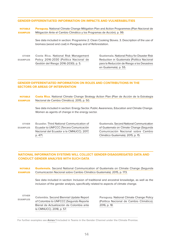#### **GENDER-DIFFERENTIATED INFORMATION ON IMPACTS AND VULNERABILITIES**

Paraguay. National Climate Change Mitigation Plan and Action Programmes (Plan Nacional de [Mitigación Ante el Cambio Climático y los Programas de Acción\). p. 99.](http://dncc.mades.gov.py/wp-content/uploads/2018/11/PLAN-NACIONAL-DE-MITIGACI%C3%93N-Y-LOS-PROGRAMAS-DE-ACCI%C3%93N.pdf) **NOTABLE** EXAMPLES

> See data included in section: Programme 2: Clean Cooking Stoves. 3. Description of the use of biomass (wood and coal) in Paraguay and of Reforestation.

Costa Rica. [National Risk Management](http://www.pgrweb.go.cr/scij/Busqueda/Normativa/Normas/nrm_texto_completo.aspx?param1=NRTC&nValor1=1&nValor2=80654&nValor3=102417&strTipM=TC#:~:text=El%20objetivo%20de%20desarrollo%20de,prospectiva%2C%20para%20fortalecer%20las%20capacidades)  [Policy 2016-2030 \(Política Nacional de](http://www.pgrweb.go.cr/scij/Busqueda/Normativa/Normas/nrm_texto_completo.aspx?param1=NRTC&nValor1=1&nValor2=80654&nValor3=102417&strTipM=TC#:~:text=El%20objetivo%20de%20desarrollo%20de,prospectiva%2C%20para%20fortalecer%20las%20capacidades)  [Gestión del Riesgo 2016-2030\). p. 5](http://www.pgrweb.go.cr/scij/Busqueda/Normativa/Normas/nrm_texto_completo.aspx?param1=NRTC&nValor1=1&nValor2=80654&nValor3=102417&strTipM=TC#:~:text=El%20objetivo%20de%20desarrollo%20de,prospectiva%2C%20para%20fortalecer%20las%20capacidades). OTHER EXAMPLES

Guatemala. [National Policy for Disaster Risk](https://conred.gob.gt/politica-nacional-para-la-reduccion-de-riesgo-a-los-desastres/)  [Reduction in Guatemala \(Política Nacional](https://conred.gob.gt/politica-nacional-para-la-reduccion-de-riesgo-a-los-desastres/)  [para la Reducción de Riesgo a los Desastres](https://conred.gob.gt/politica-nacional-para-la-reduccion-de-riesgo-a-los-desastres/)  [en Guatemala\). p. 55.](https://conred.gob.gt/politica-nacional-para-la-reduccion-de-riesgo-a-los-desastres/)

#### **GENDER-DIFFERENTIATED INFORMATION ON ROLES AND CONTRIBUTIONS IN THE SECTORS OR AREAS OF INTERVENTION**

Costa Rica. [National Climate Change Strategy Action Plan \(Plan de Acción de la Estrategia](https://www.namacafe.org/sites/default/files/content/pdf_estrategia_nacional_de_cambio_climatico_costa_rica.pdf) [Nacional de Cambio Climático\). 2015, p. 50.](https://www.namacafe.org/sites/default/files/content/pdf_estrategia_nacional_de_cambio_climatico_costa_rica.pdf) NOTABLE EXAMPLES

> See data included in section: Energy Sector. Public Awareness, Education and Climate Change. Women as agents of change in the energy sector.

Ecuador. [Third National Communication of](https://www.ambiente.gob.ec/wp-content/uploads/downloads/2017/10/TERCERA-COMUNICACION-BAJA-septiembre-20171-ilovepdf-compressed1.pdf)  [Ecuador to UNFCCC \(Tercera Comunicación](https://www.ambiente.gob.ec/wp-content/uploads/downloads/2017/10/TERCERA-COMUNICACION-BAJA-septiembre-20171-ilovepdf-compressed1.pdf)  [Nacional del Ecuador a la CMNUCC\). 2017,](https://www.ambiente.gob.ec/wp-content/uploads/downloads/2017/10/TERCERA-COMUNICACION-BAJA-septiembre-20171-ilovepdf-compressed1.pdf)  [p. 471.](https://www.ambiente.gob.ec/wp-content/uploads/downloads/2017/10/TERCERA-COMUNICACION-BAJA-septiembre-20171-ilovepdf-compressed1.pdf) OTHER EXAMPLES

Guatemala. [Second National Communication](https://info.undp.org/docs/pdc/Documents/GTM/00038379%20Informe%20final%20Proyecto.pdf)  [of Guatemala on Climate Change \(Segunda](https://info.undp.org/docs/pdc/Documents/GTM/00038379%20Informe%20final%20Proyecto.pdf)  [Comunicación Nacional sobre Cambio](https://info.undp.org/docs/pdc/Documents/GTM/00038379%20Informe%20final%20Proyecto.pdf)  [Climático Guatemala\). 2015, p. 15.](https://info.undp.org/docs/pdc/Documents/GTM/00038379%20Informe%20final%20Proyecto.pdf)

#### **NATIONAL INFORMATION SYSTEMS WILL COLLECT GENDER-DISAGGREGATED DATA AND CONDUCT GENDER ANALYSIS WITH SUCH DATA**

Guatemala. Second National Communication of Guatemala on Climate Change (Segunda [Comunicación Nacional sobre Cambio Climático Guatemala\). 2015, p. 173.](https://info.undp.org/docs/pdc/Documents/GTM/00038379%20Informe%20final%20Proyecto.pdf) **NOTABLE** EXAMPLES

> See data included in section: Inclusion of traditional and ancestral knowledge, as well as the inclusion of the gender analysis, specifically related to aspects of climate change.

OTHER EXAMPLES

Colombia. [Second Biennial Update Report](https://www4.unfccc.int/sites/SubmissionsStaging/NationalReports/Documents/47096251_Colombia-BUR2-1-2BUR%20COLOMBIA%20SPANISH.pdf)  [of Colombia to UNFCCC \(Segundo Reporte](https://www4.unfccc.int/sites/SubmissionsStaging/NationalReports/Documents/47096251_Colombia-BUR2-1-2BUR%20COLOMBIA%20SPANISH.pdf)  [Bienal de Actualización de Colombia ante](https://www4.unfccc.int/sites/SubmissionsStaging/NationalReports/Documents/47096251_Colombia-BUR2-1-2BUR%20COLOMBIA%20SPANISH.pdf) [la CMNUCC\). 2018, p. 57.](https://www4.unfccc.int/sites/SubmissionsStaging/NationalReports/Documents/47096251_Colombia-BUR2-1-2BUR%20COLOMBIA%20SPANISH.pdf)

Paraguay. [National Climate Change Policy](http://dncc.mades.gov.py/politicas-publicas-de-cambio-climatico)  [\(Política Nacional de Cambio Climático\).](http://dncc.mades.gov.py/politicas-publicas-de-cambio-climatico)  [2016, p. 18.](http://dncc.mades.gov.py/politicas-publicas-de-cambio-climatico)

**For further examples see** [Annex 1](https://www.undp.org/content/ndc-support-programme/en/home/impact-and-learning/multimedia/gender-checklist-annex.html) **included in Teams in the Gender Channel under the Climate Promise.**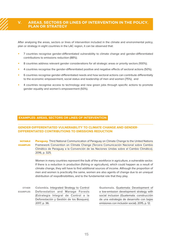# <span id="page-14-0"></span>**V. AREAS, SECTORS OR LINES OF INTERVENTION IN THE POLICY, PLAN OR STRATEGY**

After analysing the areas, sectors or lines of intervention included in the climate and environmental policy, plan or strategy in eight countries in the LAC region, it can be observed that:

- 7 countries recognise gender-differentiated vulnerability to climate change and gender-differentiated contributions to emissions reduction (88%);
- 8 countries address relevant gender considerations for all strategic areas or priority sectors (100%);
- 4 countries recognise the gender-differentiated positive and negative effects of sectoral actions (50%);
- 6 countries recognise gender-differentiated needs and how sectoral actions can contribute differentially to the economic empowerment, social status and leadership of men and women (75%); and
- 4 countries recognise access to technology and new green jobs through specific actions to promote gender equality and women's empowerment (50%).

#### **EXAMPLES: AREAS, SECTORS OR LINES OF INTERVENTION**

### **GENDER-DIFFERENTIATED VULNERABILITY TO CLIMATE CHANGE AND GENDER-DIFFERENTIATED CONTRIBUTIONS TO EMISSIONS REDUCTION**

**Paraguay.** Third National Communication of Paraguay on Climate Change to the United Nations [Framework Convention on Climate Change \(Tercera Comunicación Nacional sobre Cambio](https://www4.unfccc.int/sites/SubmissionsStaging/NationalReports/Documents/45107_Paraguay-NC3-1-NC3%20PARAGUAY.pdf)  [Climático de Paraguay a la Convención de las Naciones Unidas sobre el Cambio Climático\).](https://www4.unfccc.int/sites/SubmissionsStaging/NationalReports/Documents/45107_Paraguay-NC3-1-NC3%20PARAGUAY.pdf)  [2016, p. 325.](https://www4.unfccc.int/sites/SubmissionsStaging/NationalReports/Documents/45107_Paraguay-NC3-1-NC3%20PARAGUAY.pdf) NOTABLE EXAMPLES

> Women in many countries represent the bulk of the workforce in agriculture, a vulnerable sector. If there is a reduction in production (fishing or agriculture), which could happen as a result of climate change, they will have to find additional sources of income. Although the proportion of men and women is practically the same, women are also agents of change due to an unequal distribution of respo8nsibilities, and to the fundamental role that they play.

Colombia. [Integrated Strategy to Control](https://redd.unfccc.int/files/eicdgb_bosques_territorios_de_vida_web.pdf)  [Deforestation and Manage Forests](https://redd.unfccc.int/files/eicdgb_bosques_territorios_de_vida_web.pdf) [\(Estrategia Integral de Control a la](https://redd.unfccc.int/files/eicdgb_bosques_territorios_de_vida_web.pdf)  [Deforestación y Gestión de los Bosques\).](https://redd.unfccc.int/files/eicdgb_bosques_territorios_de_vida_web.pdf) [2017, p. 36.](https://redd.unfccc.int/files/eicdgb_bosques_territorios_de_vida_web.pdf) OTHER EXAMPLES

Guatemala. [Guatemala: Development of](https://genderandenvironment.org/wp-content/uploads/2017/05/LEDS-Inclusion-Social_Publicacion2016.pdf)  [a low-emission development strategy with](https://genderandenvironment.org/wp-content/uploads/2017/05/LEDS-Inclusion-Social_Publicacion2016.pdf)  [social inclusion \(Guatemala: construcción](https://genderandenvironment.org/wp-content/uploads/2017/05/LEDS-Inclusion-Social_Publicacion2016.pdf)  [de una estrategia de desarrollo con bajas](https://genderandenvironment.org/wp-content/uploads/2017/05/LEDS-Inclusion-Social_Publicacion2016.pdf)  [emisiones con inclusión social\). 2015, p. 12.](https://genderandenvironment.org/wp-content/uploads/2017/05/LEDS-Inclusion-Social_Publicacion2016.pdf)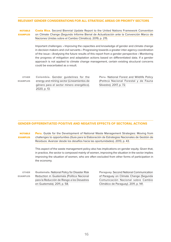#### **RELEVANT GENDER CONSIDERATIONS FOR ALL STRATEGIC AREAS OR PRIORITY SECTORS**

Costa Rica. Second Biennial Update Report to the United Nations Framework Convention [on Climate Change \(Segundo Informe Bienal de Actualización ante la Convención Marco de](https://www4.unfccc.int/sites/SubmissionsStaging/NationalReports/Documents/7160385_Costa%20Rica-BUR2-1-IBA-2019.pdf)  [Naciones Unidas sobre el Cambio Climático\). 2019, p. 215.](https://www4.unfccc.int/sites/SubmissionsStaging/NationalReports/Documents/7160385_Costa%20Rica-BUR2-1-IBA-2019.pdf) NOTABLE EXAMPLES

> Important challenges: • Improving the capacities and knowledge of gender and climate change in decision makers and civil servants • Progressing towards a greater inter-agency coordination of the issue • Analysing the future results of this report from a gender perspective • Monitoring the progress of mitigation and adaptation actions based on differentiated data. If a gender approach is not applied to climate change management, certain existing structural concerns could be exacerbated as a result.

OTHER EXAMPLES

Colombia. [Gender guidelines for the](https://www.minenergia.gov.co/en/enfoque-de-genero) [energy and mining sector \(Lineamientos de](https://www.minenergia.gov.co/en/enfoque-de-genero)  [género para el sector minero energético\).](https://www.minenergia.gov.co/en/enfoque-de-genero) [2020, p. 13.](https://www.minenergia.gov.co/en/enfoque-de-genero)

Peru. [National Forest and Wildlife Policy](https://sinia.minam.gob.pe/documentos/politica-nacional-forestal-fauna-silvestre)  [\(Política Nacional Forestal y de Fauna](https://sinia.minam.gob.pe/documentos/politica-nacional-forestal-fauna-silvestre)  [Silvestre\). 2017, p. 72.](https://sinia.minam.gob.pe/documentos/politica-nacional-forestal-fauna-silvestre)

#### **GENDER-DIFFERENTIATED POSITIVE AND NEGATIVE EFFECTS OF SECTORAL ACTIONS**

Peru. Guide for the Development of National Waste Management Strategies: Moving from [challenges to opportunities \(Guía para la Elaboración de Estrategias Nacionales de Gestión de](https://cwm.unitar.org/publications/publications/cw/wm/UNEP_UNITAR_NWMS_Spanish.pdf)  [Residuos: Avanzar desde los desafíos hacia las oportunidades\). 2013, p. 43.](https://cwm.unitar.org/publications/publications/cw/wm/UNEP_UNITAR_NWMS_Spanish.pdf) **NOTABLE** EXAMPLES

> This aspect of the waste management policy also has implications on gender equity. Given that, in practice, the sector is composed mainly of women, improving the situation in the sector implies improving the situation of women, who are often excluded from other forms of participation in the economy.

| <b>OTHER</b>    | <b>Guatemala, National Policy for Disaster Risk</b> |
|-----------------|-----------------------------------------------------|
| <b>EXAMPLES</b> | Reduction in Guatemala (Política Nacional           |
|                 | para la Reducción de Riesgo a los Desastres         |
|                 | en Guatemala). 2011, p. 58.                         |

Paraguay. [Second National Communication](http://euroclimaplus.org/intranet/_documentos/repositorio/02%20Comunicacion%20Convencion%20ONU%20Cambio%20Climatico%20Paraguay%20(2011).pdf)  [of Paraguay on Climate Change \(Segunda](http://euroclimaplus.org/intranet/_documentos/repositorio/02%20Comunicacion%20Convencion%20ONU%20Cambio%20Climatico%20Paraguay%20(2011).pdf)  [Comunicación Nacional sobre Cambio](http://euroclimaplus.org/intranet/_documentos/repositorio/02%20Comunicacion%20Convencion%20ONU%20Cambio%20Climatico%20Paraguay%20(2011).pdf)  [Climático de Paraguay\). 2011, p. 141.](http://euroclimaplus.org/intranet/_documentos/repositorio/02%20Comunicacion%20Convencion%20ONU%20Cambio%20Climatico%20Paraguay%20(2011).pdf)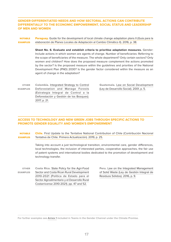**GENDER-DIFFERENTIATED NEEDS AND HOW SECTORAL ACTIONS CAN CONTRIBUTE DIFFERENTIALLY TO THE ECONOMIC EMPOWERMENT, SOCIAL STATUS AND LEADERSHIP OF MEN AND WOMEN**

Paraguay. Guide for the development of local climate change adaptation plans II (Guía para la [elaboración de Planes Locales de Adaptación al Cambio Climático II\). 2016, p. 38.](https://www.miteco.gob.es/es/cambio-climatico/publicaciones/publicaciones/guia_local_para_adaptacion_cambio_climatico_en_municipios_espanoles_vol_2_tcm30-178445.pdf) **NOTABLE** EXAMPLES

> **Sheet No. 6. Evaluate and establish criteria to prioritise adaptation measures.** Gender: Include actions in which women are agents of change. Number of beneficiaries: Referring to the scope of beneficiaries of the measure. The whole department? Only certain sectors? Only women and children? How does the proposed measure complement the actions promoted by the sector? Is the proposed measure within the guidelines and priorities of the National Development Plan (PND) 2030? Is the gender factor considered within the measure as an agent of change in the adaptation?

Colombia. [Integrated Strategy to Control](https://redd.unfccc.int/files/eicdgb_bosques_territorios_de_vida_web.pdf)  [Deforestation and Manage Forests](https://redd.unfccc.int/files/eicdgb_bosques_territorios_de_vida_web.pdf)  [\(Estrategia Integral de Control a la](https://redd.unfccc.int/files/eicdgb_bosques_territorios_de_vida_web.pdf) [Deforestación y Gestión de los Bosques\).](https://redd.unfccc.int/files/eicdgb_bosques_territorios_de_vida_web.pdf)  [2017, p. 21.](https://redd.unfccc.int/files/eicdgb_bosques_territorios_de_vida_web.pdf) OTHER EXAMPLES

Guatemala. [Law on Social Development](http://biblioteca.oj.gob.gt/library/index.php?title=17660&query=@title=Special:GSMSearchPage@process=@field1=clasificacion@value1=348.02@mode=advanced&recnum=59)  [\(Ley de Desarrollo Social\). 2001, p. 5.](http://biblioteca.oj.gob.gt/library/index.php?title=17660&query=@title=Special:GSMSearchPage@process=@field1=clasificacion@value1=348.02@mode=advanced&recnum=59)

### **ACCESS TO TECHNOLOGY AND NEW GREEN JOBS THROUGH SPECIFIC ACTIONS TO PROMOTE GENDER EQUALITY AND WOMEN'S EMPOWERMENT**

Chile. [First Update to the Tentative National Contribution of Chile \(Contribución Nacional](https://mma.gob.cl/wp-content/uploads/2019/10/Propuesta_actualizacion_NDC_Chile_2019.pdf)  [Tentativa de Chile. Primera Actualización\). 2019, p. 25.](https://mma.gob.cl/wp-content/uploads/2019/10/Propuesta_actualizacion_NDC_Chile_2019.pdf) **NOTABLE** EXAMPLES

> Taking into account a just technological transition, environmental care, gender differences, local technologies, the inclusion of interested parties, cooperative approaches, the fair use of patent systems and international bodies dedicated to the promotion of development and technology transfer.

Costa Rica. [State Policy for the Agri-Food](https://www.inder.go.cr/acerca_del_inder/politicas_publicas/documentos/Politica-sector-agro-2010-2021.pdf)  [Sector and Costa Rican Rural Development](https://www.inder.go.cr/acerca_del_inder/politicas_publicas/documentos/Politica-sector-agro-2010-2021.pdf)  [2010-2021 \(Política de Estado para el](https://www.inder.go.cr/acerca_del_inder/politicas_publicas/documentos/Politica-sector-agro-2010-2021.pdf)  [Sector Agroalimentario y el Desarrollo Rural](https://www.inder.go.cr/acerca_del_inder/politicas_publicas/documentos/Politica-sector-agro-2010-2021.pdf)  [Costarricense 2010-2021\). pp. 47 and 52.](https://www.inder.go.cr/acerca_del_inder/politicas_publicas/documentos/Politica-sector-agro-2010-2021.pdf) OTHER EXAMPLES

Peru. [Law on the Integrated Management](https://sinia.minam.gob.pe/normas/ley-gestion-integral-residuos-solidos)  [of Solid Waste \(Ley de Gestión Integral de](https://sinia.minam.gob.pe/normas/ley-gestion-integral-residuos-solidos)  [Residuos Sólidos\). 2016, p. 9.](https://sinia.minam.gob.pe/normas/ley-gestion-integral-residuos-solidos)

**For further examples see** [Annex 1](https://www.undp.org/content/ndc-support-programme/en/home/impact-and-learning/multimedia/gender-checklist-annex.html) **included in Teams in the Gender Channel under the Climate Promise.**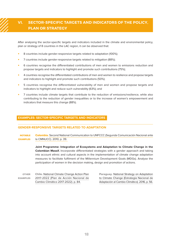# <span id="page-17-0"></span>**VI. SECTOR-SPECIFIC TARGETS AND INDICATORS OF THE POLICY, PLAN OR STRATEGY**

After analysing the sector-specific targets and indicators included in the climate and environmental policy, plan or strategy of 8 countries in the LAC region, it can be observed that:

- 8 countries include gender-responsive targets related to adaptation (100%);
- 7 countries include gender-responsive targets related to mitigation (88%);
- 6 countries recognise the differentiated contributions of men and women to emissions reduction and propose targets and indicators to highlight and promote such contributions (75%);
- 4 countries recognise the differentiated contributions of men and women to resilience and propose targets and indicators to highlight and promote such contributions (50%);
- 5 countries recognise the differentiated vulnerability of men and women and propose targets and indicators to highlight and reduce such vulnerability (63%); and
- 7 countries include climate targets that contribute to the reduction of emissions/resilience, while also contributing to the reduction of gender inequalities or to the increase of women's empowerment and indicators that measure this change (88%).

#### **EXAMPLES: SECTOR-SPECIFIC TARGETS AND INDICATORS**

#### **GENDER-RESPONSIVE TARGETS RELATED TO ADAPTATION**

Colombia. [Second National Communication to UNFCCC \(Segunda Comunicación Nacional ante](https://www.minambiente.gov.co/index.php/comunicaciones-nacionales-de-cambio-climatico/segunda-comunicacion)  [la CMNUCC\). 2010, p. 39.](https://www.minambiente.gov.co/index.php/comunicaciones-nacionales-de-cambio-climatico/segunda-comunicacion)  NOTABLE EXAMPLES

> **Joint Programme: Integration of Ecosystems and Adaptation to Climate Change in the Colombian Massif.** Incorporate differentiated strategies with a gender approach and taking into account ethnic and cultural aspects in the implementation of climate change adaptation measures to facilitate fulfilment of the Millennium Development Goals (MDGs). Analyse the participation of women in the decision making, design and promotion of actions.

| <b>OTHER</b>    | <b>Chile.</b> National Climate Change Action Plan |
|-----------------|---------------------------------------------------|
| <b>EXAMPLES</b> | 2017-2022 (Plan de Acción Nacional de             |
|                 | Cambio Climático 2017-2022). p. 84.               |

Paraguay. [National Strategy on Adaptation](http://dncc.mades.gov.py/wp-content/uploads/2018/11/ENACC-2016.pdf)  [to Climate Change \(Estrategia Nacional de](http://dncc.mades.gov.py/wp-content/uploads/2018/11/ENACC-2016.pdf)  [Adaptación al Cambio Climático\). 2016, p. 56.](http://dncc.mades.gov.py/wp-content/uploads/2018/11/ENACC-2016.pdf)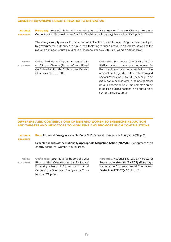#### **GENDER-RESPONSIVE TARGETS RELATED TO MITIGATION**

**Paraguay.** Second National Communication of Paraguay on Climate Change (Segunda [Comunicación Nacional sobre Cambio Climático de Paraguay\). November 2011, p. 144.](http://euroclimaplus.org/intranet/_documentos/repositorio/02%20Comunicacion%20Convencion%20ONU%20Cambio%20Climatico%20Paraguay%20(2011).pdf) NOTABLE EXAMPLES

> **The energy supply sector.** Promote and revitalise the Efficient Stoves Programmes developed by governmental authorities in rural areas, fostering reduced pressure on forests, as well as the reduction of agents that could cause illnesses, especially to rural women and children.

OTHER EXAMPLES

Chile. [Third Biennial Update Report of Chile](https://mma.gob.cl/wp-content/uploads/2018/12/3rd-BUR-Chile-SPanish.pdf) [on Climate Change \(Tercer Informe Bienal](https://mma.gob.cl/wp-content/uploads/2018/12/3rd-BUR-Chile-SPanish.pdf) [de Actualización de Chile sobre Cambio](https://mma.gob.cl/wp-content/uploads/2018/12/3rd-BUR-Chile-SPanish.pdf) [Climático\). 2018, p. 385.](https://mma.gob.cl/wp-content/uploads/2018/12/3rd-BUR-Chile-SPanish.pdf)

Colombia. [Resolution 0002830 of 5 July](https://www.mintransporte.gov.co/loader.php?lServicio=Tools2&lTipo=descargas&lFuncion=descargar&idFile=21581)  [2019,creating the sectoral committee for](https://www.mintransporte.gov.co/loader.php?lServicio=Tools2&lTipo=descargas&lFuncion=descargar&idFile=21581)  [the coordination and implementation of the](https://www.mintransporte.gov.co/loader.php?lServicio=Tools2&lTipo=descargas&lFuncion=descargar&idFile=21581)  [national public gender policy in the transport](https://www.mintransporte.gov.co/loader.php?lServicio=Tools2&lTipo=descargas&lFuncion=descargar&idFile=21581)  [sector \(Resolución 0002830, de 5 de julio de](https://www.mintransporte.gov.co/loader.php?lServicio=Tools2&lTipo=descargas&lFuncion=descargar&idFile=21581)  [2019, por la cual se crea el comité sectorial](https://www.mintransporte.gov.co/loader.php?lServicio=Tools2&lTipo=descargas&lFuncion=descargar&idFile=21581)  [para la coordinación e implementación de](https://www.mintransporte.gov.co/loader.php?lServicio=Tools2&lTipo=descargas&lFuncion=descargar&idFile=21581)  [la política pública nacional de género en el](https://www.mintransporte.gov.co/loader.php?lServicio=Tools2&lTipo=descargas&lFuncion=descargar&idFile=21581)  [sector transporte\). p. 3.](https://www.mintransporte.gov.co/loader.php?lServicio=Tools2&lTipo=descargas&lFuncion=descargar&idFile=21581)

### **DIFFERENTIATED CONTRIBUTIONS OF MEN AND WOMEN TO EMISSIONS REDUCTION AND TARGETS AND INDICATORS TO HIGHLIGHT AND PROMOTE SUCH CONTRIBUTIONS**

#### Peru. Universal Energy Access NAMA (NAMA Acceso Universal a la Energía). 2018, p. 2. NOTABLE EXAMPLES

**Expected results of the Nationally Appropriate Mitigation Action (NAMA).** Development of an energy school for women in rural areas.

OTHER EXAMPLES

Costa Rica. [Sixth national Report of Costa](https://www.cbd.int/doc/nr/nr-06/cr-nr-06-p2-es.pdf) [Rica to the Convention on Biological](https://www.cbd.int/doc/nr/nr-06/cr-nr-06-p2-es.pdf) [Diversity \(Sexto Informe Nacional al](https://www.cbd.int/doc/nr/nr-06/cr-nr-06-p2-es.pdf) [Convenio de Diversidad Biológica de Costa](https://www.cbd.int/doc/nr/nr-06/cr-nr-06-p2-es.pdf) [Rica\). 2019, p. 52.](https://www.cbd.int/doc/nr/nr-06/cr-nr-06-p2-es.pdf)

Paraguay. [National Strategy on Forests for](https://redd.unfccc.int/files/estrategia_nacional_bosques_para_el_crecimiento_sostenible.pdf)  [Sustainable Growth \(ENBCS\) \(Estrategia](https://redd.unfccc.int/files/estrategia_nacional_bosques_para_el_crecimiento_sostenible.pdf)  [Nacional de Bosques para el Crecimiento](https://redd.unfccc.int/files/estrategia_nacional_bosques_para_el_crecimiento_sostenible.pdf)  [Sostenible \(ENBCS\)\). 2019, p. 13.](https://redd.unfccc.int/files/estrategia_nacional_bosques_para_el_crecimiento_sostenible.pdf)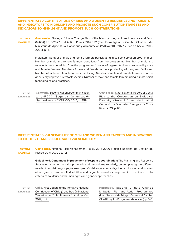### **DIFFERENTIATED CONTRIBUTIONS OF MEN AND WOMEN TO RESILIENCE AND TARGETS AND INDICATORS TO HIGHLIGHT AND PROMOTE SUCH CONTRIBUTIONSTARGETS AND INDICATORS TO HIGHLIGHT AND PROMOTE SUCH CONTRIBUTIONS**

Guatemala. Strategic Climate Change Plan of the Ministry of Agriculture, Livestock and Food [\(MAGA\) 2018-2027 and Action Plan 2018-2022 \(Plan Estratégico de Cambio Climático del](https://issuu.com/karensolares/docs/plan_estrategico_cc_maga_v2)  [Ministerio de Agricultura, Ganadería y Alimentación \(MAGA\) 2018-2027 y Plan de Acción 2018-](https://issuu.com/karensolares/docs/plan_estrategico_cc_maga_v2) [2022\). p. 43.](https://issuu.com/karensolares/docs/plan_estrategico_cc_maga_v2) **NOTABLE** EXAMPLES

> Indicators: Number of male and female farmers participating in soil conservation programmes. Number of male and female farmers benefiting from the programme. Number of male and female farmers benefiting from the programme. Amount of organic fertilisers produced by male and female farmers. Number of male and female farmers producing with organic fertilisers. Number of male and female farmers producing. Number of male and female farmers who use genetically improved livestock species. Number of male and female farmers using climate-smart technologies and practices.

OTHER EXAMPLES

Colombia. [Second National Communication](https://www.minambiente.gov.co/index.php/comunicaciones-nacionales-de-cambio-climatico/segunda-comunicacion)  [to UNFCCC \(Segunda Comunicación](https://www.minambiente.gov.co/index.php/comunicaciones-nacionales-de-cambio-climatico/segunda-comunicacion)  [Nacional ante la CMNUCC\). 2010, p. 359](https://www.minambiente.gov.co/index.php/comunicaciones-nacionales-de-cambio-climatico/segunda-comunicacion).

Costa Rica. [Sixth National Report of Costa](https://www.cbd.int/doc/nr/nr-06/cr-nr-06-p2-es.pdf)  [Rica to the Convention on Biological](https://www.cbd.int/doc/nr/nr-06/cr-nr-06-p2-es.pdf)  [Diversity \(Sexto Informe Nacional al](https://www.cbd.int/doc/nr/nr-06/cr-nr-06-p2-es.pdf)  [Convenio de Diversidad Biológica de Costa](https://www.cbd.int/doc/nr/nr-06/cr-nr-06-p2-es.pdf)  [Rica\). 2019, p. 66.](https://www.cbd.int/doc/nr/nr-06/cr-nr-06-p2-es.pdf)

## **DIFFERENTIATED VULNERABILITY OF MEN AND WOMEN AND TARGETS AND INDICATORS TO HIGHLIGHT AND REDUCE SUCH VULNERABILITY**

Costa Rica. [National Risk Management Policy 2016-2030 \(Política Nacional de Gestión del](http://www.pgrweb.go.cr/scij/Busqueda/Normativa/Normas/nrm_texto_completo.aspx?param1=NRTC&nValor1=1&nValor2=80654&nValor3=102417&strTipM=TC#:~:text=El%20objetivo%20de%20desarrollo%20de,prospectiva%2C%20para%20fortalecer%20las%20capacidades)  [Riesgo 2016-2030\). p. 42.](http://www.pgrweb.go.cr/scij/Busqueda/Normativa/Normas/nrm_texto_completo.aspx?param1=NRTC&nValor1=1&nValor2=80654&nValor3=102417&strTipM=TC#:~:text=El%20objetivo%20de%20desarrollo%20de,prospectiva%2C%20para%20fortalecer%20las%20capacidades) NOTABLE EXAMPLES

> **Guideline 9. Continuous improvement of response coordination:** The Planning and Response Subsystem must update the protocols and procedures regularly, contemplating the different needs of population groups; for example, of children, adolescents, older adults, men and women, ethnic groups, people with disabilities and migrants, as well as the protection of animals, under criteria of solidarity and human rights and gender approaches.

Chile. [First Update to the Tentative National](https://mma.gob.cl/wp-content/uploads/2019/10/Propuesta_actualizacion_NDC_Chile_2019.pdf) [Contribution of Chile \(Contribución Nacional](https://mma.gob.cl/wp-content/uploads/2019/10/Propuesta_actualizacion_NDC_Chile_2019.pdf) [Tentativa de Chile. Primera Actualización\).](https://mma.gob.cl/wp-content/uploads/2019/10/Propuesta_actualizacion_NDC_Chile_2019.pdf) [2019, p. 41.](https://mma.gob.cl/wp-content/uploads/2019/10/Propuesta_actualizacion_NDC_Chile_2019.pdf) OTHER **EXAMPLES** 

Paraguay. [National Climate Change](http://dncc.mades.gov.py/wp-content/uploads/2018/11/PLAN-NACIONAL-DE-MITIGACI%C3%93N-Y-LOS-PROGRAMAS-DE-ACCI%C3%93N.pdf)  [Mitigation Plan and Action Programmes](http://dncc.mades.gov.py/wp-content/uploads/2018/11/PLAN-NACIONAL-DE-MITIGACI%C3%93N-Y-LOS-PROGRAMAS-DE-ACCI%C3%93N.pdf) [\(Plan Nacional de Mitigación Ante el Cambio](http://dncc.mades.gov.py/wp-content/uploads/2018/11/PLAN-NACIONAL-DE-MITIGACI%C3%93N-Y-LOS-PROGRAMAS-DE-ACCI%C3%93N.pdf)  [Climático y los Programas de Acción\). p. 145.](http://dncc.mades.gov.py/wp-content/uploads/2018/11/PLAN-NACIONAL-DE-MITIGACI%C3%93N-Y-LOS-PROGRAMAS-DE-ACCI%C3%93N.pdf)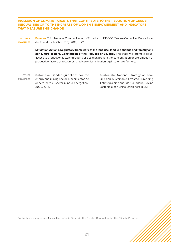### **INCLUSION OF CLIMATE TARGETS THAT CONTRIBUTE TO THE REDUCTION OF GENDER INEQUALITIES OR TO THE INCREASE OF WOMEN'S EMPOWERMENT AND INDICATORS THAT MEASURE THIS CHANGE**

**NOTABLE** EXAMPLES Ecuador. [Third National Communication of Ecuador to UNFCCC \(Tercera Comunicación Nacional](https://www.ambiente.gob.ec/wp-content/uploads/downloads/2017/10/TERCERA-COMUNICACION-BAJA-septiembre-20171-ilovepdf-compressed1.pdf)  [del Ecuador a la CMNUCC\). 2017, p. 211.](https://www.ambiente.gob.ec/wp-content/uploads/downloads/2017/10/TERCERA-COMUNICACION-BAJA-septiembre-20171-ilovepdf-compressed1.pdf)

> **Mitigation Actions. Regulatory framework of the land use, land use change and forestry and agriculture sectors. Constitution of the Republic of Ecuador.** The State will promote equal access to production factors through policies that: prevent the concentration or pre-emption of productive factors or resources, eradicate discrimination against female farmers.

OTHER EXAMPLES Colombia. [Gender guidelines for the](https://www.minenergia.gov.co/en/enfoque-de-genero) [energy and mining sector \(Lineamientos de](https://www.minenergia.gov.co/en/enfoque-de-genero) [género para el sector minero energético\).](https://www.minenergia.gov.co/en/enfoque-de-genero) [2020, p. 15.](https://www.minenergia.gov.co/en/enfoque-de-genero)

Guatemala. [National Strategy on Low-](https://www.maga.gob.gt/download/estrategiaganado.pdf)[Emission Sustainable Livestock Breeding](https://www.maga.gob.gt/download/estrategiaganado.pdf)  [\(Estrategia Nacional de Ganadería Bovina](https://www.maga.gob.gt/download/estrategiaganado.pdf)  [Sostenible con Bajas Emisiones\). p. 23.](https://www.maga.gob.gt/download/estrategiaganado.pdf)

**For further examples see** [Annex 1](https://www.undp.org/content/ndc-support-programme/en/home/impact-and-learning/multimedia/gender-checklist-annex.html) **included in Teams in the Gender Channel under the Climate Promise.**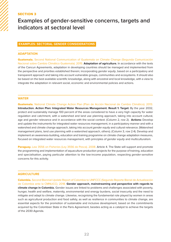# <span id="page-21-0"></span>SECTION 3

# **Examples of gender-sensitive concerns, targets and indicators at sectoral level**

#### **EXAMPLES: SECTORAL GENDER CONSIDERATIONS**

#### **ADAPTATION**

Guatemala. Second National Communication of Guatemala on Climate Change (Segunda Comunicación Nacional sobre Cambio Climático Guatemala). 2015. **Adaptation of agriculture.** In accordance with the texts of the Cancun Agreements, adaptation in developing countries should be managed and implemented from the perspective and priorities established therein; incorporating gender equity, based on a participatory and transparent approach and taking into account vulnerable groups, communities and ecosystems. It should also be based on the best available scientific knowledge, along with ancestral and local knowledge, with a view to integrate the adaptation in relevant social, economic and environmental policies and actions.

#### **WATER**

Guatemala. National Climate Change Action Plan (Plan de Acción Nacional de Cambio Climático). 2013. **Introduction. Action Plan: Integrated Water Resources Management. Result 1: Target:** By the year 2032, protect and sustainably manage 100 percent of the areas considered to have a very high capacity for water regulation and catchment, with a watershed and land use planning approach, taking into account cultural, age and gender relevance and in accordance with the social context. (Column 2, row 2). **Actions:** Develop and update the instruments for integrated water resources management, in a participatory manner and with a watershed and climate change approach, taking into account *gender equity* and cultural relevance. (Watershed management plans, land use planning with a watershed approach, others). (Column 3, row 2.4). Develop and implement an awareness-building, education and training programme on climate change adaptation measures, focused on integrated water resources management, with principles of gender equity and multiculturalism.

Paraguay. Law 3556 on Fisheries (Ley 3556 de Pesca). 2008. Article 4. The State will support and promote the programming and implementation of aquaculture production projects for the purpose of training, education and specialisation, paying particular attention to the low-income population, respecting *gender-sensitive* concerns for this activity.

#### **AGRICULTURE**

Colombia. Second Biennial Update Report of Colombia to UNFCCC (Segundo Reporte Bienal de Actualización de Colombia ante la CMNUCC). 2018. **Gender approach, mainstreaming and perspective with regards to climate change in Colombia.** Gender issues are linked to problems and challenges associated with poverty, hunger, health and welfare, maternity, environmental and energy burdens, social insecurity and the need to mitigate and adapt to climate change. Likewise, recognising the fundamental role played by women in areas such as agricultural production and food safety, as well as resilience in communities to climate change, are essential aspects for the promotion of sustainable and inclusive development, based on the commitments acquired by the Colombian State in the Paris Agreement, besides acting as a catalyst to achieve the targets of the 2030 Agenda.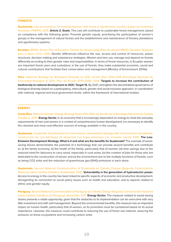#### **FORESTS**

Guatemala. Law on incentives for small landowners with forest or agroforestry vocation (Leyes de incentivos forestales PINPEP). 2010. **Article 2. Goals.** This Law will contribute to sustainable forest management, based on compliance with the following goals: Promote *gender equity*, prioritising the participation of women's groups in the management of natural forests and the establishment and maintenance of forestry plantations and agroforestry systems.

Ecuador. REDD+ Action Plan of Ecuador: Forests for Good Living (Plan de Acción REDD+ Ecuador: Bosques para el Buen Vivir). 2016. Gender differences influence the use, access and control of resources, power structures, decision making and subsistence strategies. Women and men use, manage and depend on forests differently according to their gender roles and responsibilities. In terms of forest resources, in Ecuador women are important forest users and custodians; in the use of forests, they make substantial economic, social and cultural contributions that facilitate their conservation and management (Ministry of Environment 2014e).

Peru. National Strategy for Biological Diversity to 2021. Action Plan 2014-2018 (Estrategia Nacional de Diversidad Biológica al 2021. Plan de Acción 2014-2018). 2014. **Targets to increase the contribution of biodiversity to national development to 2021. Target 13.** By 2021, strengthen the decentralised governance of biological diversity based on a participatory, intercultural, *gender* and social inclusion approach, in coordination with national, regional and local government levels, within the framework of international treaties.

#### **ENERGY**

Costa Rica. National Climate Change Strategy Action Plan (Plan de Acción de la Estrategia Nacional de Cambio Climático). 2015. **Energy Sector.** In an economy that is increasingly dependent on energy to meet the everyday requirements of men and women in a context of comprehensive human development, it is necessary to identify the cleanest and most cost-effective sources of energy available in the country.

Guatemala. Guatemala: Development of a low-emission development strategy with social inclusion (Guatemala: construcción de una estrategia de desarrollo con bajas emisiones con inclusión social). 2015. **The Low-Emission Development Strategy: What is it and what are the benefits for Guatemala?** The example of woodsaving stoves demonstrates the potential of a technology that can provide several benefits and contribute to: (i) the family economy; (ii) the health of the family, particularly that of women; (iii) time savings due to the reduced need for labourers to carry wood, especially in rural areas; (iv) the creation of jobs for those who are dedicated to the construction of stoves; and (v) the environment due to the multiple functions of forests, such as being CO2 sinks and the reduction of greenhouse gas (GHG) emissions in each stove.

Guatemala. Second National Communication of Guatemala on Climate Change (Segunda Comunicación Nacional sobre Cambio Climático Guatemala). 2015. **Vulnerability in the generation of hydroelectric power.**  Access to energy in the country has been linked to specific aspects of economic and productive development, disregarding its connection to social policy issues such as health and education, and to aspects related to ethnic and gender equity.

Paraguay. Second National Communication of Paraguay on Climate Change (Segunda Comunicación Nacional sobre Cambio Climático de Paraguay). November 2011. **Energy Sector.** The measure related to wood-saving stoves presents a viable opportunity, given that the obstacles to its implementation can be overcome with very little investment and with self-management. Beyond the environmental benefits, this measure has an important impact on human health, particularly that of women, so its promotion must be considered based on its actual importance. Likewise, this measure could contribute to reducing the use of forest raw material, reducing the pressure on these ecosystems and increasing carbon sinks.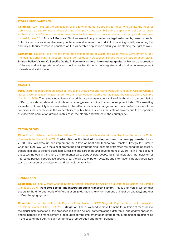#### **WASTE MANAGEMENT**

Colombia. Law 1466 on the application of the Environmental Subpoena to those who violate the rules of debris clean-up and removal and establishing other provisions (Ley 1466 sobre la aplicación del Comparendo Ambiental a los infractores de las normas de aseo, limpieza y recolección de escombros, y se dictan otras disposiciones). 2011. **Article 1. Purpose.** This Law seeks to apply protective legal instruments, based on social fraternity and environmental recovery, to the men and women who work in the recycling activity, excluding the arbitrary authority to impose penalties on the vulnerable population and fully guaranteeing the right to work.

Guatemala. National Policy for the Integrated Management of Waste and Solid Waste. Government Order. (Política Nacional para la Gestión Integral de Residuos y Desechos Sólidos Acuerdo Gubernativo). 2015. **Shared Policy Vision. C. Specific Goals. 2. Economic sphere. Intermediate goals:** (c) Promote the creation of decent work with gender equity and multiculturalism through the integrated and sustainable management of waste and solid waste.

#### **HEALTH**

Peru. Third National Communication of Peru to the United Nations Framework Convention on Climate Change (Tercera Comunicación Nacional del Perú a la Convención Marco de las Naciones Unidas sobre Cambio Climático). 2016. The same study also evaluated the approximate vulnerability of the health of the population of Peru, considering data at district level on age, *gender* and the human development index. The resulting estimated vulnerability is not exclusive to the effects of climate change, rather it also reflects some of the conditions that characterise the vulnerability of public health, such as the state of poverty and the proportion of vulnerable population groups (in this case, the elderly and women in the countryside).

#### **TECHNOLOGY**

Chile. First Update to the Tentative National Contribution of Chile (Contribución Nacional Tentativa de Chile. Primera Actualización). 2019. **Contribution in the field of development and technology transfer.** From 2020, Chile will draw up and implement the "Development and Technology Transfer Strategy for Climate Change" (EDTTCC), with the aim of promoting and strengthening technology transfer, fostering the necessary transformations to achieve sustainable, resilient and carbon neutral development by 2050. Taking into account a just technological transition, environmental care, gender differences, local technologies, the inclusion of interested parties, cooperative approaches, the fair use of patent systems and international bodies dedicated to the promotion of development and technology transfer.

#### **TRANSPORT**

Costa Rica. National Climate Change Strategy Action Plan (Plan de Acción de la Estrategia Nacional de Cambio Climático). 2015. **Transport Sector. The integrated public transport system.** This is a universal system that adapts to the different needs of different users (older adults, women, persons of impaired capacity) and that unifies charging systems.

Colombia. Second Biennial Update Report of Colombia to UNFCCC (Segundo Reporte Bienal de Actualización de Colombia ante la CMNUCC). 2018. **Mitigation.** There is a need to move from the formulation of measures to the actual materialisation of the proposed mitigation actions, contemplating a differential and gender approach, and to increase the management of resources for the implementation of the formulated mitigation actions as in the case of the NAMAs, such as domestic refrigeration and freight transport.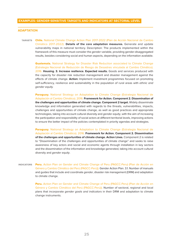#### **ADAPTATION**

**TARGETS Chile.** National Climate Change Action Plan 2017-2022 (Plan de Acción Nacional de Cambio Climático 2017-2022). **Details of the core adaptation measures.** Generate and update vulnerability maps in national territory. Description: The products implemented within the framework of this measure must consider the *gender* variable, providing gender-disaggregated results, besides considering social and human aspects, depending on the information available.

> **Guatemala.** National Strategy for Disaster Risk Reduction associated to Climate Change (Estrategia Nacional de Reducción de Riesgo de Desastres vinculada al Cambio Climático). 2016. **Housing. 3. Increase resilience. Expected results.** Goods and services produced with the capacity for disaster risk reduction management and disaster management against the effects of climate change. **Action:** Implement investment programmes focused on promoting self-sufficiency, resilience and sustainability in the population of rural areas with ethnic and gender equity.

> **Paraguay.** National Strategy on Adaptation to Climate Change (Estrategia Nacional de Adaptación al Cambio Climático). 2016. **Framework for Action. Component 2. Dissemination of the challenges and opportunities of climate change. Component 2 target.** Widely disseminate knowledge and information generated with regards to the threats, vulnerabilities, impacts, challenges and opportunities of climate change, as well as good practices and appropriate technologies, taking into account cultural diversity and *gender equity*, with the aim of increasing the participation and responsibility of social actors at different territorial levels, improving actions to ensure the better impact of the policies contemplated in priority agendas and strategies.

> Paraguay. National Strategy on Adaptation to Climate Change (Estrategia Nacional de Adaptación al Cambio Climático). 2016. **Framework for Action. Component 2. Dissemination of the challenges and opportunities of climate change. Action Lines.** Component 2 is related to "Dissemination of the challenges and opportunities of climate change" and seeks to raise awareness of key actors and social and economic agents through installation in key sectors and the dissemination of the information and knowledge generated, taking into account cultural diversity and *gender equity*.

INDICATORS Peru. Action Plan on Gender and Climate Change of Peru (PAGCC-Peru) (Plan de Acción en Género y Cambio Climático del Perú (PAGCC-Perú)). Gender Action Plan. 3.1. Number of manuals and guides that include and coordinate gender, disaster risk management (DRM) and adaptation to climate change.

> Peru. Action Plan on Gender and Climate Change of Peru (PAGCC-Peru) (Plan de Acción en Género y Cambio Climático del Perú (PAGCC-Perú)). Number of sectoral, regional and local plans that incorporate gender goals and indicators in their DRM and adaptation to climate change instruments.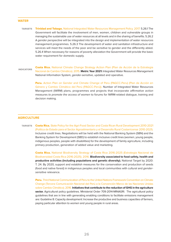#### **WATER**

- TARGETS **Trinidad and Tobago.** National Integrated Water Resources Management Policy. 2017. 5.26.1 The Government will facilitate the involvement of men, women, children and vulnerable groups in managing the sustainable use of water resources at all levels and in the sharing of benefits. 5.26.2 A gender perspective will be integrated into the design and implementation of water resources management programmes. 5.26.3 The development of water and sanitation infrastructure and services will meet the needs of the poor and be sensitive to gender and the differently abled. 5.26.4 When necessary for reasons of poverty alleviation the Government will provide the basic water requirement for domestic supply.
- **INDICATORS** Costa Rica. National Climate Change Strategy Action Plan (Plan de Acción de la Estrategia Nacional de Cambio Climático). 2015. **Metric Year 2021:** Integrated Water Resources Management National Information System, gender-sensitive, updated and operative.

Peru. Action Plan on Gender and Climate Change of Peru (PAGCC-Peru) (Plan de Acción en Género y Cambio Climático del Perú (PAGCC-Perú)). Number of Integrated Water Resources Management (IWRM) plans, programmes and projects that incorporate affirmative action measures to promote the access of women to forums for IWRM-related dialogue, training and decision making.

#### **AGRICULTURE**

TARGETS Costa Rica. State Policy for the Agri-Food Sector and Costa Rican Rural Development 2010-2021 (Política de Estado para el Sector Agroalimentario y el Desarrollo Rural Costarricense 2010-2021). Inclusive credit lines. Negotiations will be held with the National Banking System (SBN) and the Banking System for Development (SBD) to establish inclusive credit lines (women, young people, indigenous peoples, people with disabilities) for the development of family agriculture, including primary production, generation of added value and marketing.

> Costa Rica. National Biodiversity Strategy of Costa Rica 2016-2025 (Estrategia Nacional de Biodiversidad Costa Rica 2016-2025). 2016. **Biodiversity associated to food safety, health and productive activities (including populations and genetic diversity).** National Target by 2020: T. 24. By 2020, support and establish measures for the conservation and production of seeds (food and native forest) in indigenous peoples and local communities with cultural and gendersensitive relevance.

> Peru. Third National Communication of Peru to the United Nations Framework Convention on Climate Change (Tercera Comunicación Nacional del Perú a la Convención Marco de las Naciones Unidas sobre Cambio Climático). 2016. **Initiatives that contribute to the reduction of GHG in the agriculture sector.** Agricultural policy guidelines. Ministerial Order 709-2014-MINAGRI. The agricultural policy guidelines that are in line with generating enabling conditions to facilitate emissions management are: Guideline 8: Capacity development: Increase the productive and business capacities of farmers, paying particular attention to women and young people in rural areas.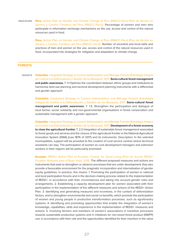INDICATORS Peru. Action Plan on Gender and Climate Change of Peru (PAGCC-Peru) (Plan de Acción en Género y Cambio Climático del Perú (PAGCC-Perú)). Percentage of women and men who participate in information exchange mechanisms on the use, access and control of the natural resources used in food.

> Peru. Action Plan on Gender and Climate Change of Peru (PAGCC-Peru) (Plan de Acción en Género y Cambio Climático del Perú (PAGCC-Perú)). Number of ancestral and local skills and practices of men and women on the use, access and control of the natural resources used in food, incorporated into strategies for mitigation and adaptation to climate change.

#### **FORESTS**

TARGETS Colombia. Integrated Strategy to Control Deforestation and Manage Forests (Estrategia Integral de Control a la Deforestación y Gestión de los Bosques). 2017. **Socio-cultural forest management and public awareness.** T. 1.1 Optimise the coordination between ethnic groups and institutions to harmonise land use planning and sectoral development planning instruments with a differential and gender approach.

> **Colombia.** Integrated Strategy to Control Deforestation and Manage Forests (Estrategia) Integral de Control a la Deforestación y Gestión de los Bosques). 2017. **Socio-cultural forest management and public awareness.** T. 1.5. Strengthen the participation and dialogue of local farmer, social, solidarity and non-governmental organisations in forest conservation and sustainable management with a gender approach.

> Colombia. Integrated Strategy to Control Deforestation and Manage Forests (Estrategia Integral de Control a la Deforestación y Gestión de los Bosques). 2017. **Development of a forest economy to close the agricultural frontier.** T. 2.2 Integration of sustainable forest management associated to forest goods and services and the closure of the agricultural frontier in the National Agricultural Innovation System (SNIA) (Law 1876 of 2017) and its instruments. Description: In the selected municipalities, support will be provided to the creation of rural service centres where technical assistants can stay. The participation of women as rural development managers and extension workers in their regions will be particularly promoted.

> Ecuador. REDD+ Action Plan of Ecuador: Forests for Good Living (Plan de Acción REDD+ Ecuador: Bosques para el Buen Vivir). 2016. The different proposed measures and actions are instruments that seek to strengthen or advance processes that are under development; they also provide a favourable environment for the pragmatic incorporation and internalisation of gender equity guidelines. In practice, this means: 1. Promoting the participation of women in national and local participation forums and in the decision-making process related to the implementation of REDD+, in accordance with their circumstances and taking into account gender roles and arrangements. 2. Establishing a capacity development plan for women associated with their participation in the implementation of the different measures and actions of the REDD+ Action Plan. 3. Identifying and generating measures and incentives, in the context of deforestation factors, and to strengthen environmental and social co-benefits, which promote the participation of women and young people in productive transformation processes, such as agroforestry systems. 4. Identifying and promoting opportunities that enable the integration of women's knowledge, capabilities, skills and experience in the implementation of REDD+ measures and actions. 5. Involving farmers and members of women's associations in transition processes towards sustainable productive systems and in initiatives for non-wood forest product (NWFP) use, in accordance with their role and the opportunities identified for their insertion in the value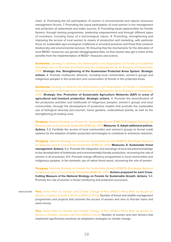chain. 6. Promoting the full participation of women in environmental and natural resources management forums. 7. Promoting the equal participation of *rural women* in the management and protection of watersheds and water sources. 8. Promoting equal opportunities for female farmers, through training programmes, leadership empowerment and through different types of incentives, including those of a technological nature. 9. Promoting, strengthening and improving the access of rural women to means of production and marketing, with particular focus on sustainable agro-ecological, traditional or ancestral practices and those that conserve biodiversity and environmental services. 10. Ensuring that the mechanisms for the allocation of local REDD+ resources use gender-disaggregated data, so that women also get a share of the benefits from the implementation of REDD+ measures and actions.

**Guatemala.** Strategy to Address the Deforestation and Degradation of Forests in Guatemala (Estrategia para el Abordaje de la Deforestación y Degradación de los Bosques en Guatemala). 2018. **Strategic line. Strengthening of the Guatemalan Protected Areas System. Strategic actions.** 4. Promote multisector alliances, including local communities, women's groups and indigenous peoples in the protection and conservation of forests in the protected areas.

**Guatemala.** Strategy to Address the Deforestation and Degradation of Forests in Guatemala (Estrategia para el Abordaje de la Deforestación y Degradación de los Bosques en Guatemala). 2018. **Strategic line. Promotion of Sustainable Agriculture Networks (SAF) in areas of agricultural and livestock production. Strategic actions.** 4. Promote the diversification of the productive activities and livelihoods of indigenous peoples, women's groups and local communities, through the development of productive models that promote the sustainable use of biological diversity (eco-tourism, home gardens, underutilised plants), as well as the strengthening of existing ones.

Paraguay. National Strategy on Forests for Sustainable Growth (ENBCS) (Estrategia Nacional de Bosques para el Crecimiento Sostenible (ENBCS)). 2019. **Measures. 5. Adopt settlement policies. Actions.** 5.3. Facilitate the access of local communities and women's groups to formal credit systems for the adoption of better production technologies to contribute to emissions reduction.

**Paraguay.** National Strategy on Forests for Sustainable Growth (ENBCS) (Estrategia Nacional de Bosques para el Crecimiento Sostenible (ENBCS)). 2019. **Measures. 6. Sustainable forest management. Actions.** 6.2. Promote the integration and exchange of local ancestral knowledge to the development of livelihoods and environmentally friendly production, recovering the role of women in all processes. 6.5. Promote energy efficiency programmes in local communities and indigenous peoples, in the domestic use of native forest wood, recovering the role of women.

Paraguay. National Strategy on Forests for Sustainable Growth (ENBCS) (Estrategia Nacional de Bosques para el Crecimiento Sostenible (ENBCS)). 2019. **Actions proposed for each Cross-Cutting Measure of the National Strategy on Forests for Sustainable Growth. Actions.** 9.4. Promote the role of women in forest monitoring and protection processes.

INDICATORS Peru. Action Plan on Gender and Climate Change of Peru (PAGCC-Peru) (Plan de Acción en Género y Cambio Climático del Perú (PAGCC-Perú)). Number of forest and wildlife management programmes and projects that promote the access of women and men to first-tier loans and seed money.

> Peru. Action Plan on Gender and Climate Change of Peru (PAGCC-Peru) (Plan de Acción en Género y Cambio Climático del Perú (PAGCC-Perú)). Number of women and men farmers that implement agroforestry practices as adaptation strategies to climate change.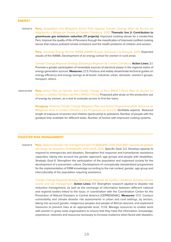### **ENERGY**

### TARGETS Peru. Adaptation and Mitigation Action Plan Against Climate Change (Plan de Acción de Adaptación y Mitigación Frente al Cambio Climático). 2010. **Thematic line 2: Contribution to greenhouse gas emissions reduction (17 projects).** Improved cooking stoves for a smoke-free Peru: Improve the quality of life of Peruvians through the massification of improved certified cooking stoves that reduce pollutant smoke emissions and the health problems of children and women.

Peru. Universal Energy Access NAMA (NAMA Acceso Universal a la Energía). 2018. Expected results of the NAMA. Development of an energy school for women in rural areas.

Climate Change Regional Strategy (Estrategia Regional de Cambio Climático). **Action Lines:** 2.1. Promote a greater participation of renewable sources of electrical power in the regional matrix of energy generation sources. **Measures:** 2.1.3. Produce and widely disseminate technical guides on energy efficiency and energy savings at all levels: industrial, urban, domestic, women's groups, transport, others.

**INDICATORS** Peru. Action Plan on Gender and Climate Change of Peru (PAGCC-Peru) (Plan de Acción en Género y Cambio Climático del Perú (PAGCC-Perú)). Proposed pilot study on the productive use of energy by women, as a tool to evaluate access to first-tier loans.

> **Paraguay.** National Climate Change Mitigation Plan and Action Programmes (Plan Nacional de Mitigación Ante el Cambio Climático y los Programas de Acción). Verifiable aspects. Reduced length of exposure of women and children (particularly) to pollutants. Number of people with the greatest time available for different tasks. Number of homes with improved cooking systems.

#### **DISASTER RISK MANAGEMENT**

TARGETS Peru. National disaster risk management plan PLANAGERD 2014-2021 (Plan nacional de gestión del riesgo de desastres PLANAGERD 2014-2021). 2014. Specific Goal: 3.2. Develop capacity to respond to emergencies and disasters. Strengthen first response and humanitarian assistance capacities, taking into account the *gender approach*, age groups and people with disabilities. Strategic Goal 6. Strengthen the participation of the population and organised society for the development of a prevention culture. Development of conceptually standardised programmes for the implementation of DRM knowledge according to the risk context, gender, age group and interculturality of the population requiring assistance.

> Climate Change Regional Strategy (Estrategia Regional de Cambio Climático). Extreme climate events and risk management. **Action Lines:** 1.1.1. Strengthen research applied to disaster risk reduction management, as well as the exchange of information between different national and regional bodies linked to the issue, in coordination with the Coordination Centre for the Prevention of Natural Disasters in Central America (CEPREDENAC). **Measures:** 1.1.1.1. Conduct vulnerability and climate disaster risk assessments in urban and rural settings, by sectors, taking into account *gender*, indigenous peoples and people of African descent, and implement measures to prevent risks at an appropriate level. 1.1.1.6. Manage resources to enable work with women in grass-roots organisations to ensure that they have the information, knowledge, experience, networks and resources necessary to increase resilience when faced with disasters.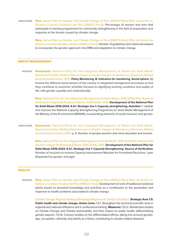INDICATORS Peru. Action Plan on Gender and Climate Change of Peru (PAGCC-Peru) (Plan de Acción en Género y Cambio Climático del Perú (PAGCC-Perú)). Percentage of women and men that participate in training programmes for community strengthening in the field of preparation and response to the threats caused by climate change.

> Peru. Action Plan on Gender and Climate Change of Peru (PAGCC-Peru) (Plan de Acción en Género y Cambio Climático del Perú (PAGCC-Perú)). Number of guidelines and criteria developed to incorporate the gender approach into DRM and adaptation to climate change.

#### **WASTE MANAGEMENT**

TARGETS Guatemala. National Policy for the Integrated Management of Waste and Solid Waste. Government Order (Política Nacional para la Gestión Integral de Residuos y Desechos Sólidos Acuerdo Gubernativo). 2015. **Policy Monitoring. B. Indicators for monitoring. Social sphere.** (b) Involve the different social sectors of the country in integrated management processes so that they contribute to economic activities focused on dignifying working conditions and quality of life, with *gender equality* and multiculturality.

> Peru. National Plan for the Integrated Management of Solid Waste: 2016-2024 (Plan Nacional de Gestión Integral de Residuos Sólidos: 2016-2024). 2016. **Development of the National Plan for Solid Waste 2016-2024. 6.4.1. Strategic line 1: Capacity strengthening. Activities:** 1. Update and improve the National Capacity Strengthening Programme for Solid Waste Management of the Ministry of the Environment (MINAM), incorporating elements of social inclusion and gender.

INDICATORS Guatemala. National Policy for the Integrated Management of Waste and Solid Waste. Government Order (Política Nacional para la Gestión Integral de Residuos y Desechos Sólidos Acuerdo Gubernativo). 2015, p. 6. Number of people (women and men) educated and trained.

> Peru. National Plan for the Integrated Management of Solid Waste: 2016-2024 (Plan Nacional de Gestión Integral de Residuos Sólidos: 2016-2024). 2016. **Development of the National Plan for Solid Waste 2016-2024. 6.4.1. Strategic line 1: Capacity Strengthening. Source of Verification:**  Number of recyclers to receive Capacity Improvement Modules for Formalised Recyclers / year (Separated by gender and age).

#### **HEALTH**

TARGETS Peru. Action Plan on Gender and Climate Change of Peru (PAGCC-Peru) (Plan de Acción en Género y Cambio Climático del Perú (PAGCC-Perú)). Development of a kit of traditional medicinal plants based on ancestral knowledge and practices as a contribution to the prevention and response to health problems associated to climate change.

> Climate Change Regional Strategy (Estrategia Regional de Cambio Climático). **Strategic Area 1.5: Public health and climate change. Action Lines:** 1.5.1. Strengthen the technical-scientific level in regional and national institutions and in professional training. **Measures:** 1.5.1.2. Standardise studies on Climate Change and Climate Vulnerability, and their impact on public health, differentiating gender aspects. 1.5.1.6. Conduct studies on the differentiated effects, taking into account gender, age, occupation, ethnicity and beliefs as a factor, contributing to climate-related diseases.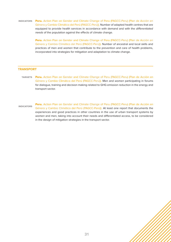INDICATORS Peru. Action Plan on Gender and Climate Change of Peru (PAGCC-Peru) (Plan de Acción en Género y Cambio Climático del Perú (PAGCC-Perú)). Number of adapted health centres that are equipped to provide health services in accordance with demand and with the differentiated needs of the population against the effects of climate change.

> Peru. Action Plan on Gender and Climate Change of Peru (PAGCC-Peru) (Plan de Acción en Género y Cambio Climático del Perú (PAGCC-Perú)). Number of ancestral and local skills and practices of men and women that contribute to the prevention and care of health problems, incorporated into strategies for mitigation and adaptation to climate change.

#### **TRANSPORT**

- TARGETS Peru. Action Plan on Gender and Climate Change of Peru (PAGCC-Peru) (Plan de Acción en Género y Cambio Climático del Perú (PAGCC-Perú)). Men and women participating in forums for dialogue, training and decision making related to GHG emission reduction in the energy and transport sector.
- INDICATORS Peru. Action Plan on Gender and Climate Change of Peru (PAGCC-Peru) (Plan de Acción en Género y Cambio Climático del Perú (PAGCC-Perú)). At least one report that documents the experiences and good practices in other countries in the use of urban transport systems by women and men, taking into account their needs and differentiated access, to be considered in the design of mitigation strategies in the transport sector.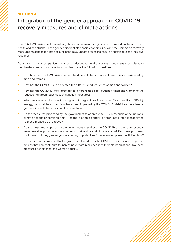# <span id="page-31-0"></span>SECTION 4

# **Integration of the gender approach in COVID-19 recovery measures and climate actions**

The COVID-19 crisis affects everybody: however, women and girls face disproportionate economic, health and social risks. These gender-differentiated socio-economic risks and their impact on recovery measures must be taken into account in the NDC update process to ensure a sustainable and inclusive response.

During such processes, particularly when conducting general or sectoral gender analyses related to the climate agenda, it is crucial for countries to ask the following questions:

- How has the COVID-19 crisis affected the differentiated climate vulnerabilities experienced by men and women?
- How has the COVID-19 crisis affected the differentiated resilience of men and women?
- How has the COVID-19 crisis affected the differentiated contributions of men and women to the reduction of greenhouse gases/mitigation measures?
- Which sectors related to the climate agenda (i.e. Agriculture, Forestry and Other Land Use (AFOLU), energy, transport, health, tourism) have been impacted by the COVID-19 crisis? Has there been a gender-differentiated impact on these sectors?
- Do the measures proposed by the government to address the COVID-19 crisis affect national climate actions or commitments? Has there been a gender-differentiated impact associated to these measures proposed?
- Do the measures proposed by the government to address the COVID-19 crisis include recovery measures that promote environmental sustainability and climate action? Do these proposals contribute to closing gender gaps or creating opportunities for women's empowerment? If so, how?
- Do the measures proposed by the government to address the COVID-19 crisis include support or actions that can contribute to increasing climate resilience in vulnerable populations? Do these measures benefit men and women equally?